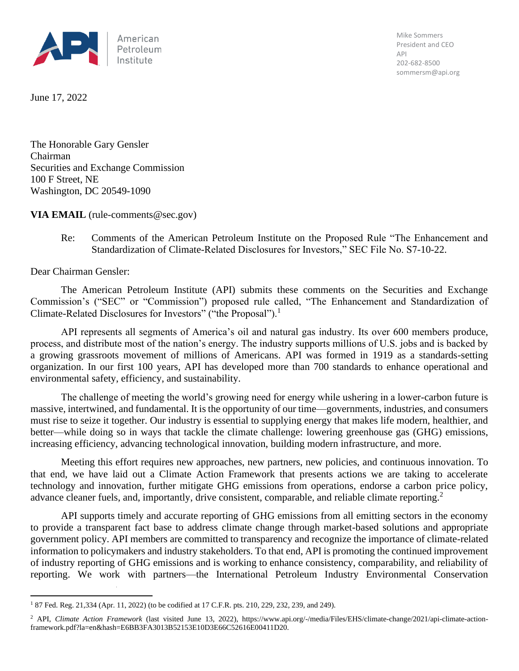

Mike Sommers President and CEO API 202-682-8500 sommersm@api.org

June 17, 2022

The Honorable Gary Gensler Chairman Securities and Exchange Commission 100 F Street, NE Washington, DC 20549-1090

**VIA EMAIL** (rule-comments@sec.gov)

Re: Comments of the American Petroleum Institute on the Proposed Rule "The Enhancement and Standardization of Climate-Related Disclosures for Investors," SEC File No. S7-10-22.

Dear Chairman Gensler:

The American Petroleum Institute (API) submits these comments on the Securities and Exchange Commission's ("SEC" or "Commission") proposed rule called, "The Enhancement and Standardization of Climate-Related Disclosures for Investors" ("the Proposal").<sup>1</sup>

API represents all segments of America's oil and natural gas industry. Its over 600 members produce, process, and distribute most of the nation's energy. The industry supports millions of U.S. jobs and is backed by a growing grassroots movement of millions of Americans. API was formed in 1919 as a standards-setting organization. In our first 100 years, API has developed more than 700 standards to enhance operational and environmental safety, efficiency, and sustainability.

The challenge of meeting the world's growing need for energy while ushering in a lower-carbon future is massive, intertwined, and fundamental. It is the opportunity of our time—governments, industries, and consumers must rise to seize it together. Our industry is essential to supplying energy that makes life modern, healthier, and better—while doing so in ways that tackle the climate challenge: lowering greenhouse gas (GHG) emissions, increasing efficiency, advancing technological innovation, building modern infrastructure, and more.

Meeting this effort requires new approaches, new partners, new policies, and continuous innovation. To that end, we have laid out a Climate Action Framework that presents actions we are taking to accelerate technology and innovation, further mitigate GHG emissions from operations, endorse a carbon price policy, advance cleaner fuels, and, importantly, drive consistent, comparable, and reliable climate reporting.<sup>2</sup>

API supports timely and accurate reporting of GHG emissions from all emitting sectors in the economy to provide a transparent fact base to address climate change through market-based solutions and appropriate government policy. API members are committed to transparency and recognize the importance of climate-related information to policymakers and industry stakeholders. To that end, API is promoting the continued improvement of industry reporting of GHG emissions and is working to enhance consistency, comparability, and reliability of reporting. We work with partners—the International Petroleum Industry Environmental Conservation

<sup>1</sup> 87 Fed. Reg. 21,334 (Apr. 11, 2022) (to be codified at 17 C.F.R. pts. 210, 229, 232, 239, and 249).

<sup>&</sup>lt;sup>2</sup> API, *Climate Action Framework* (last visited June 13, 2022), https://www.api.org/-/media/Files/EHS/climate-change/2021/api-climate-actionframework.pdf?la=en&hash=E6BB3FA3013B52153E10D3E66C52616E00411D20.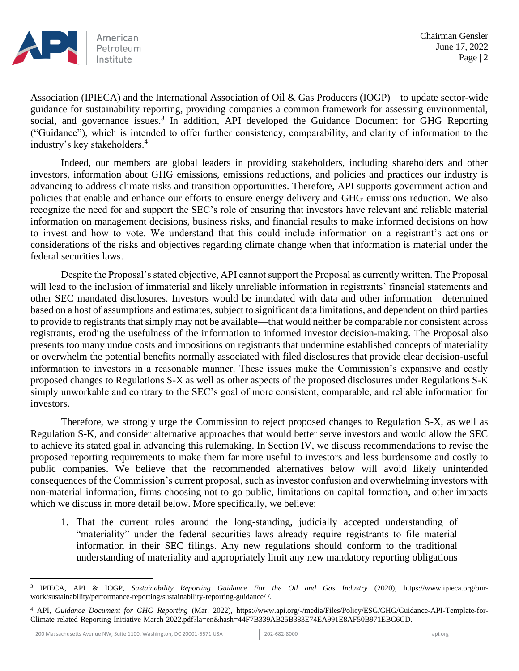

Association (IPIECA) and the International Association of Oil & Gas Producers (IOGP)—to update sector-wide guidance for sustainability reporting, providing companies a common framework for assessing environmental, social, and governance issues.<sup>3</sup> In addition, API developed the Guidance Document for GHG Reporting ("Guidance"), which is intended to offer further consistency, comparability, and clarity of information to the industry's key stakeholders.<sup>4</sup>

Indeed, our members are global leaders in providing stakeholders, including shareholders and other investors, information about GHG emissions, emissions reductions, and policies and practices our industry is advancing to address climate risks and transition opportunities. Therefore, API supports government action and policies that enable and enhance our efforts to ensure energy delivery and GHG emissions reduction. We also recognize the need for and support the SEC's role of ensuring that investors have relevant and reliable material information on management decisions, business risks, and financial results to make informed decisions on how to invest and how to vote. We understand that this could include information on a registrant's actions or considerations of the risks and objectives regarding climate change when that information is material under the federal securities laws.

Despite the Proposal's stated objective, API cannot support the Proposal as currently written. The Proposal will lead to the inclusion of immaterial and likely unreliable information in registrants' financial statements and other SEC mandated disclosures. Investors would be inundated with data and other information—determined based on a host of assumptions and estimates, subject to significant data limitations, and dependent on third parties to provide to registrants that simply may not be available—that would neither be comparable nor consistent across registrants, eroding the usefulness of the information to informed investor decision-making. The Proposal also presents too many undue costs and impositions on registrants that undermine established concepts of materiality or overwhelm the potential benefits normally associated with filed disclosures that provide clear decision-useful information to investors in a reasonable manner. These issues make the Commission's expansive and costly proposed changes to Regulations S-X as well as other aspects of the proposed disclosures under Regulations S-K simply unworkable and contrary to the SEC's goal of more consistent, comparable, and reliable information for investors.

Therefore, we strongly urge the Commission to reject proposed changes to Regulation S-X, as well as Regulation S-K, and consider alternative approaches that would better serve investors and would allow the SEC to achieve its stated goal in advancing this rulemaking. In Section IV, we discuss recommendations to revise the proposed reporting requirements to make them far more useful to investors and less burdensome and costly to public companies. We believe that the recommended alternatives below will avoid likely unintended consequences of the Commission's current proposal, such as investor confusion and overwhelming investors with non-material information, firms choosing not to go public, limitations on capital formation, and other impacts which we discuss in more detail below. More specifically, we believe:

1. That the current rules around the long-standing, judicially accepted understanding of "materiality" under the federal securities laws already require registrants to file material information in their SEC filings. Any new regulations should conform to the traditional understanding of materiality and appropriately limit any new mandatory reporting obligations

<sup>3</sup> IPIECA, API & IOGP, *Sustainability Reporting Guidance For the Oil and Gas Industry* (2020), https://www.ipieca.org/ourwork/sustainability/performance-reporting/sustainability-reporting-guidance/ /.

<sup>4</sup> API, *Guidance Document for GHG Reporting* (Mar. 2022), https://www.api.org/-/media/Files/Policy/ESG/GHG/Guidance-API-Template-for-Climate-related-Reporting-Initiative-March-2022.pdf?la=en&hash=44F7B339AB25B383E74EA991E8AF50B971EBC6CD.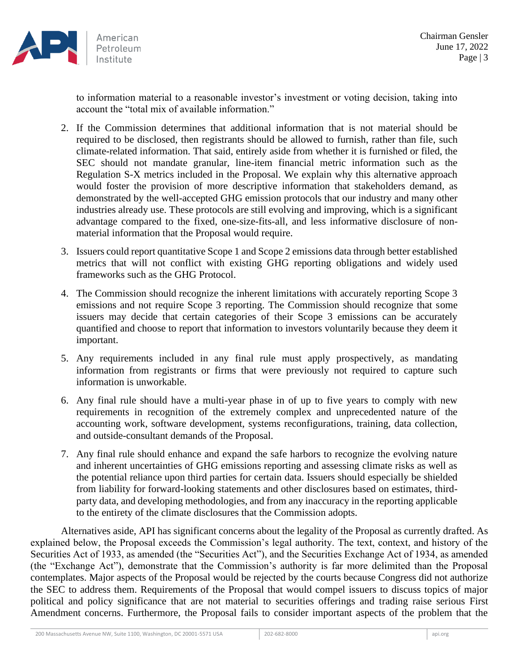

to information material to a reasonable investor's investment or voting decision, taking into account the "total mix of available information."

- 2. If the Commission determines that additional information that is not material should be required to be disclosed, then registrants should be allowed to furnish, rather than file, such climate-related information. That said, entirely aside from whether it is furnished or filed, the SEC should not mandate granular, line-item financial metric information such as the Regulation S-X metrics included in the Proposal. We explain why this alternative approach would foster the provision of more descriptive information that stakeholders demand, as demonstrated by the well-accepted GHG emission protocols that our industry and many other industries already use. These protocols are still evolving and improving, which is a significant advantage compared to the fixed, one-size-fits-all, and less informative disclosure of nonmaterial information that the Proposal would require.
- 3. Issuers could report quantitative Scope 1 and Scope 2 emissions data through better established metrics that will not conflict with existing GHG reporting obligations and widely used frameworks such as the GHG Protocol.
- 4. The Commission should recognize the inherent limitations with accurately reporting Scope 3 emissions and not require Scope 3 reporting. The Commission should recognize that some issuers may decide that certain categories of their Scope 3 emissions can be accurately quantified and choose to report that information to investors voluntarily because they deem it important.
- 5. Any requirements included in any final rule must apply prospectively, as mandating information from registrants or firms that were previously not required to capture such information is unworkable.
- 6. Any final rule should have a multi-year phase in of up to five years to comply with new requirements in recognition of the extremely complex and unprecedented nature of the accounting work, software development, systems reconfigurations, training, data collection, and outside-consultant demands of the Proposal.
- 7. Any final rule should enhance and expand the safe harbors to recognize the evolving nature and inherent uncertainties of GHG emissions reporting and assessing climate risks as well as the potential reliance upon third parties for certain data. Issuers should especially be shielded from liability for forward-looking statements and other disclosures based on estimates, thirdparty data, and developing methodologies, and from any inaccuracy in the reporting applicable to the entirety of the climate disclosures that the Commission adopts.

Alternatives aside, API has significant concerns about the legality of the Proposal as currently drafted. As explained below, the Proposal exceeds the Commission's legal authority. The text, context, and history of the Securities Act of 1933, as amended (the "Securities Act"), and the Securities Exchange Act of 1934, as amended (the "Exchange Act"), demonstrate that the Commission's authority is far more delimited than the Proposal contemplates. Major aspects of the Proposal would be rejected by the courts because Congress did not authorize the SEC to address them. Requirements of the Proposal that would compel issuers to discuss topics of major political and policy significance that are not material to securities offerings and trading raise serious First Amendment concerns. Furthermore, the Proposal fails to consider important aspects of the problem that the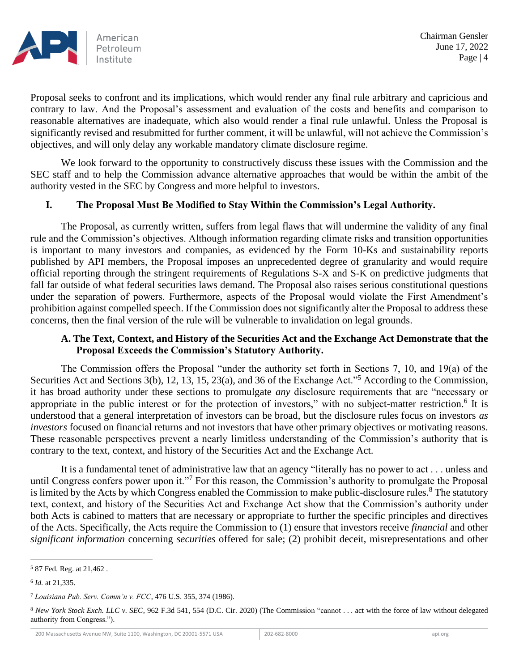

Proposal seeks to confront and its implications, which would render any final rule arbitrary and capricious and contrary to law. And the Proposal's assessment and evaluation of the costs and benefits and comparison to reasonable alternatives are inadequate, which also would render a final rule unlawful. Unless the Proposal is significantly revised and resubmitted for further comment, it will be unlawful, will not achieve the Commission's objectives, and will only delay any workable mandatory climate disclosure regime.

We look forward to the opportunity to constructively discuss these issues with the Commission and the SEC staff and to help the Commission advance alternative approaches that would be within the ambit of the authority vested in the SEC by Congress and more helpful to investors.

### **I. The Proposal Must Be Modified to Stay Within the Commission's Legal Authority.**

The Proposal, as currently written, suffers from legal flaws that will undermine the validity of any final rule and the Commission's objectives. Although information regarding climate risks and transition opportunities is important to many investors and companies, as evidenced by the Form 10-Ks and sustainability reports published by API members, the Proposal imposes an unprecedented degree of granularity and would require official reporting through the stringent requirements of Regulations S-X and S-K on predictive judgments that fall far outside of what federal securities laws demand. The Proposal also raises serious constitutional questions under the separation of powers. Furthermore, aspects of the Proposal would violate the First Amendment's prohibition against compelled speech. If the Commission does not significantly alter the Proposal to address these concerns, then the final version of the rule will be vulnerable to invalidation on legal grounds.

### **A. The Text, Context, and History of the Securities Act and the Exchange Act Demonstrate that the Proposal Exceeds the Commission's Statutory Authority.**

The Commission offers the Proposal "under the authority set forth in Sections 7, 10, and 19(a) of the Securities Act and Sections 3(b), 12, 13, 15, 23(a), and 36 of the Exchange Act."<sup>5</sup> According to the Commission, it has broad authority under these sections to promulgate *any* disclosure requirements that are "necessary or appropriate in the public interest or for the protection of investors," with no subject-matter restriction.<sup>6</sup> It is understood that a general interpretation of investors can be broad, but the disclosure rules focus on investors *as investors* focused on financial returns and not investors that have other primary objectives or motivating reasons. These reasonable perspectives prevent a nearly limitless understanding of the Commission's authority that is contrary to the text, context, and history of the Securities Act and the Exchange Act.

It is a fundamental tenet of administrative law that an agency "literally has no power to act . . . unless and until Congress confers power upon it."<sup>7</sup> For this reason, the Commission's authority to promulgate the Proposal is limited by the Acts by which Congress enabled the Commission to make public-disclosure rules.<sup>8</sup> The statutory text, context, and history of the Securities Act and Exchange Act show that the Commission's authority under both Acts is cabined to matters that are necessary or appropriate to further the specific principles and directives of the Acts. Specifically, the Acts require the Commission to (1) ensure that investors receive *financial* and other *significant information* concerning *securities* offered for sale; (2) prohibit deceit, misrepresentations and other

<sup>5</sup> 87 Fed. Reg. at 21,462 .

<sup>6</sup> *Id.* at 21,335.

<sup>7</sup> *Louisiana Pub. Serv. Comm'n v. FCC*, 476 U.S. 355, 374 (1986).

<sup>8</sup> *New York Stock Exch. LLC v. SEC*, 962 F.3d 541, 554 (D.C. Cir. 2020) (The Commission "cannot . . . act with the force of law without delegated authority from Congress.").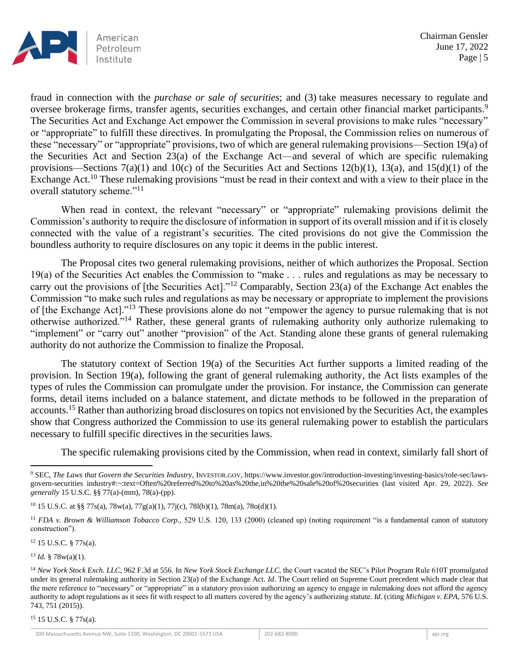

fraud in connection with the *purchase or sale of securities*; and (3) take measures necessary to regulate and oversee brokerage firms, transfer agents, securities exchanges, and certain other financial market participants.<sup>9</sup> The Securities Act and Exchange Act empower the Commission in several provisions to make rules "necessary" or "appropriate" to fulfill these directives. In promulgating the Proposal, the Commission relies on numerous of these "necessary" or "appropriate" provisions, two of which are general rulemaking provisions—Section 19(a) of the Securities Act and Section 23(a) of the Exchange Act—and several of which are specific rulemaking provisions—Sections 7(a)(1) and 10(c) of the Securities Act and Sections 12(b)(1), 13(a), and 15(d)(1) of the Exchange Act.<sup>10</sup> These rulemaking provisions "must be read in their context and with a view to their place in the overall statutory scheme."<sup>11</sup>

When read in context, the relevant "necessary" or "appropriate" rulemaking provisions delimit the Commission's authority to require the disclosure of information in support of its overall mission and if it is closely connected with the value of a registrant's securities. The cited provisions do not give the Commission the boundless authority to require disclosures on any topic it deems in the public interest.

The Proposal cites two general rulemaking provisions, neither of which authorizes the Proposal. Section 19(a) of the Securities Act enables the Commission to "make . . . rules and regulations as may be necessary to carry out the provisions of [the Securities Act]."<sup>12</sup> Comparably, Section 23(a) of the Exchange Act enables the Commission "to make such rules and regulations as may be necessary or appropriate to implement the provisions of [the Exchange Act]."<sup>13</sup> These provisions alone do not "empower the agency to pursue rulemaking that is not otherwise authorized."<sup>14</sup> Rather, these general grants of rulemaking authority only authorize rulemaking to "implement" or "carry out" another "provision" of the Act. Standing alone these grants of general rulemaking authority do not authorize the Commission to finalize the Proposal.

The statutory context of Section 19(a) of the Securities Act further supports a limited reading of the provision. In Section 19(a), following the grant of general rulemaking authority, the Act lists examples of the types of rules the Commission can promulgate under the provision. For instance, the Commission can generate forms, detail items included on a balance statement, and dictate methods to be followed in the preparation of accounts.<sup>15</sup> Rather than authorizing broad disclosures on topics not envisioned by the Securities Act, the examples show that Congress authorized the Commission to use its general rulemaking power to establish the particulars necessary to fulfill specific directives in the securities laws.

The specific rulemaking provisions cited by the Commission, when read in context, similarly fall short of

<sup>12</sup> 15 U.S.C. § 77s(a).

 $13$  *Id.* § 78w(a)(1).

<sup>15</sup> 15 U.S.C. § 77s(a).

<sup>9</sup> SEC, *The Laws that Govern the Securities Industry*, INVESTOR.GOV, https://www.investor.gov/introduction-investing/investing-basics/role-sec/lawsgovern-securities industry#:~:text=Often%20referred%20to%20as%20the,in%20the%20sale%20of%20securities (last visited Apr. 29, 2022). *See generally* 15 U.S.C. §§ 77(a)-(mm), 78(a)-(pp).

<sup>10</sup> 15 U.S.C*.* at §§ 77s(a), 78w(a), 77g(a)(1), 77j(c), 78l(b)(1), 78m(a), 78o(d)(1).

<sup>11</sup> *FDA v. Brown & Williamson Tobacco Corp.*, 529 U.S. 120, 133 (2000) (cleaned up) (noting requirement "is a fundamental canon of statutory construction").

<sup>14</sup> *New York Stock Exch. LLC*, 962 F.3d at 556. In *New York Stock Exchange LLC*, the Court vacated the SEC's Pilot Program Rule 610T promulgated under its general rulemaking authority in Section 23(a) of the Exchange Act. *Id*. The Court relied on Supreme Court precedent which made clear that the mere reference to "necessary" or "appropriate" in a statutory provision authorizing an agency to engage in rulemaking does not afford the agency authority to adopt regulations as it sees fit with respect to all matters covered by the agency's authorizing statute. *Id.* (citing *Michigan v. EPA*, 576 U.S. 743, 751 (2015)).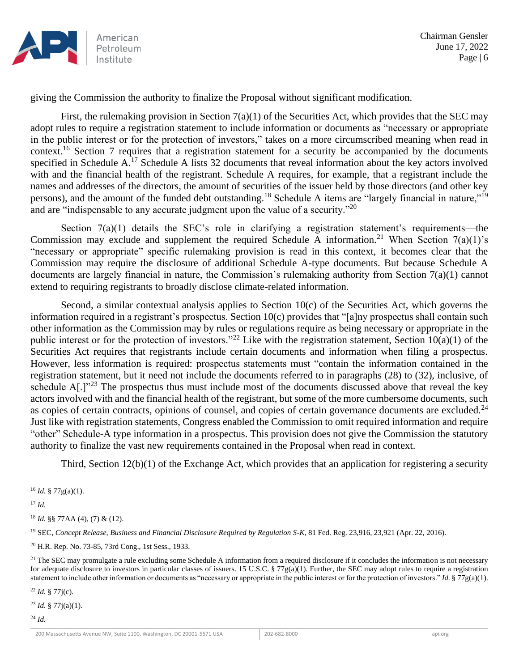

giving the Commission the authority to finalize the Proposal without significant modification.

First, the rulemaking provision in Section 7(a)(1) of the Securities Act, which provides that the SEC may adopt rules to require a registration statement to include information or documents as "necessary or appropriate in the public interest or for the protection of investors," takes on a more circumscribed meaning when read in context.<sup>16</sup> Section 7 requires that a registration statement for a security be accompanied by the documents specified in Schedule A.<sup>17</sup> Schedule A lists 32 documents that reveal information about the key actors involved with and the financial health of the registrant. Schedule A requires, for example, that a registrant include the names and addresses of the directors, the amount of securities of the issuer held by those directors (and other key persons), and the amount of the funded debt outstanding.<sup>18</sup> Schedule A items are "largely financial in nature,"<sup>19</sup> and are "indispensable to any accurate judgment upon the value of a security."<sup>20</sup>

Section 7(a)(1) details the SEC's role in clarifying a registration statement's requirements—the Commission may exclude and supplement the required Schedule A information.<sup>21</sup> When Section 7(a)(1)'s "necessary or appropriate" specific rulemaking provision is read in this context, it becomes clear that the Commission may require the disclosure of additional Schedule A-type documents. But because Schedule A documents are largely financial in nature, the Commission's rulemaking authority from Section 7(a)(1) cannot extend to requiring registrants to broadly disclose climate-related information.

Second, a similar contextual analysis applies to Section 10(c) of the Securities Act, which governs the information required in a registrant's prospectus. Section 10(c) provides that "[a]ny prospectus shall contain such other information as the Commission may by rules or regulations require as being necessary or appropriate in the public interest or for the protection of investors."<sup>22</sup> Like with the registration statement, Section  $10(a)(1)$  of the Securities Act requires that registrants include certain documents and information when filing a prospectus. However, less information is required: prospectus statements must "contain the information contained in the registration statement, but it need not include the documents referred to in paragraphs (28) to (32), inclusive, of schedule  $A$ [.]"<sup>23</sup> The prospectus thus must include most of the documents discussed above that reveal the key actors involved with and the financial health of the registrant, but some of the more cumbersome documents, such as copies of certain contracts, opinions of counsel, and copies of certain governance documents are excluded.<sup>24</sup> Just like with registration statements, Congress enabled the Commission to omit required information and require "other" Schedule-A type information in a prospectus. This provision does not give the Commission the statutory authority to finalize the vast new requirements contained in the Proposal when read in context.

Third, Section 12(b)(1) of the Exchange Act, which provides that an application for registering a security

<sup>19</sup> SEC, *Concept Release, Business and Financial Disclosure Required by Regulation S-K*, 81 Fed. Reg. 23,916, 23,921 (Apr. 22, 2016).

<sup>22</sup> *Id.* § 77j(c).

<sup>23</sup> *Id.* § 77j(a)(1).

<sup>24</sup> *Id.*

 $^{16}$  *Id.* § 77g(a)(1).

<sup>17</sup> *Id.*

<sup>18</sup> *Id.* §§ 77AA (4), (7) & (12).

<sup>20</sup> H.R. Rep. No. 73-85, 73rd Cong., 1st Sess., 1933.

 $21$  The SEC may promulgate a rule excluding some Schedule A information from a required disclosure if it concludes the information is not necessary for adequate disclosure to investors in particular classes of issuers. 15 U.S.C. § 77g(a)(1). Further, the SEC may adopt rules to require a registration statement to include other information or documents as "necessary or appropriate in the public interest or for the protection of investors." *Id.* § 77g(a)(1).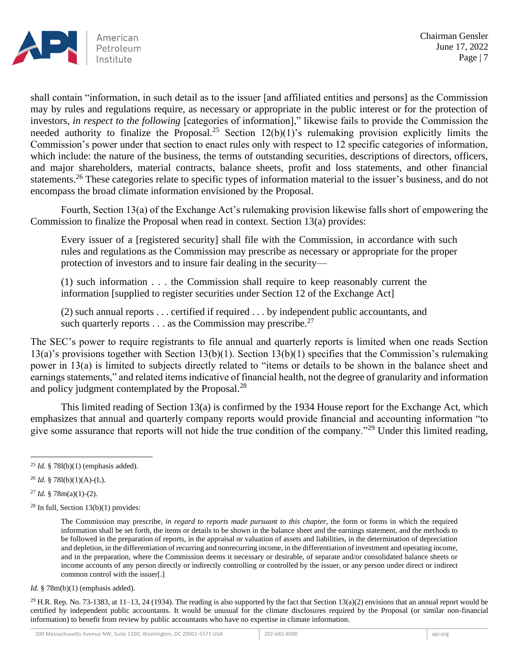

shall contain "information, in such detail as to the issuer [and affiliated entities and persons] as the Commission may by rules and regulations require, as necessary or appropriate in the public interest or for the protection of investors, *in respect to the following* [categories of information]," likewise fails to provide the Commission the needed authority to finalize the Proposal.<sup>25</sup> Section  $12(b)(1)$ 's rulemaking provision explicitly limits the Commission's power under that section to enact rules only with respect to 12 specific categories of information, which include: the nature of the business, the terms of outstanding securities, descriptions of directors, officers, and major shareholders, material contracts, balance sheets, profit and loss statements, and other financial statements.<sup>26</sup> These categories relate to specific types of information material to the issuer's business, and do not encompass the broad climate information envisioned by the Proposal.

Fourth, Section 13(a) of the Exchange Act's rulemaking provision likewise falls short of empowering the Commission to finalize the Proposal when read in context. Section 13(a) provides:

Every issuer of a [registered security] shall file with the Commission, in accordance with such rules and regulations as the Commission may prescribe as necessary or appropriate for the proper protection of investors and to insure fair dealing in the security—

(1) such information . . . the Commission shall require to keep reasonably current the information [supplied to register securities under Section 12 of the Exchange Act]

(2) such annual reports . . . certified if required . . . by independent public accountants, and such quarterly reports  $\dots$  as the Commission may prescribe.<sup>27</sup>

The SEC's power to require registrants to file annual and quarterly reports is limited when one reads Section 13(a)'s provisions together with Section 13(b)(1). Section 13(b)(1) specifies that the Commission's rulemaking power in 13(a) is limited to subjects directly related to "items or details to be shown in the balance sheet and earnings statements," and related items indicative of financial health, not the degree of granularity and information and policy judgment contemplated by the Proposal.<sup>28</sup>

This limited reading of Section 13(a) is confirmed by the 1934 House report for the Exchange Act, which emphasizes that annual and quarterly company reports would provide financial and accounting information "to give some assurance that reports will not hide the true condition of the company."<sup>29</sup> Under this limited reading,

<sup>29</sup> H.R. Rep. No. 73-1383, at 11–13, 24 (1934). The reading is also supported by the fact that Section 13(a)(2) envisions that an annual report would be certified by independent public accountants. It would be unusual for the climate disclosures required by the Proposal (or similar non-financial information) to benefit from review by public accountants who have no expertise in climate information.

<sup>25</sup> *Id.* § 78l(b)(1) (emphasis added).

<sup>26</sup> *Id.* § 78l(b)(1)(A)-(L).

<sup>27</sup> *Id.* § 78m(a)(1)-(2).

 $28$  In full, Section 13(b)(1) provides:

The Commission may prescribe*, in regard to reports made pursuant to this chapter*, the form or forms in which the required information shall be set forth, the items or details to be shown in the balance sheet and the earnings statement, and the methods to be followed in the preparation of reports, in the appraisal or valuation of assets and liabilities, in the determination of depreciation and depletion, in the differentiation of recurring and nonrecurring income, in the differentiation of investment and operating income, and in the preparation, where the Commission deems it necessary or desirable, of separate and/or consolidated balance sheets or income accounts of any person directly or indirectly controlling or controlled by the issuer, or any person under direct or indirect common control with the issuer[.]

*Id.* § 78m(b)(1) (emphasis added).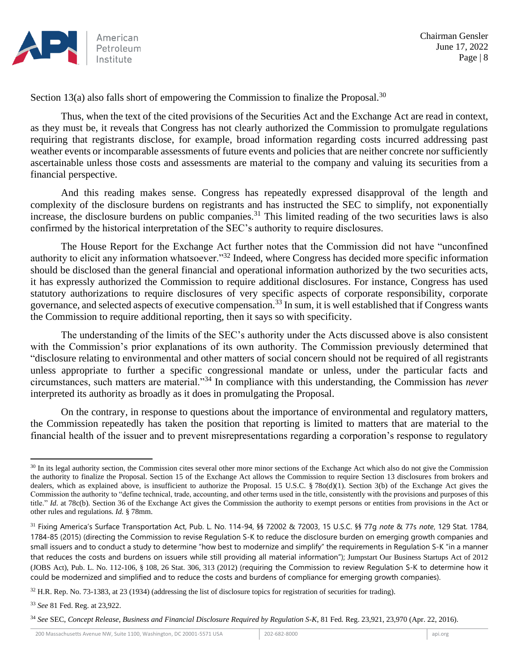

Section 13(a) also falls short of empowering the Commission to finalize the Proposal.<sup>30</sup>

Thus, when the text of the cited provisions of the Securities Act and the Exchange Act are read in context, as they must be, it reveals that Congress has not clearly authorized the Commission to promulgate regulations requiring that registrants disclose, for example, broad information regarding costs incurred addressing past weather events or incomparable assessments of future events and policies that are neither concrete nor sufficiently ascertainable unless those costs and assessments are material to the company and valuing its securities from a financial perspective.

And this reading makes sense. Congress has repeatedly expressed disapproval of the length and complexity of the disclosure burdens on registrants and has instructed the SEC to simplify, not exponentially increase, the disclosure burdens on public companies.<sup>31</sup> This limited reading of the two securities laws is also confirmed by the historical interpretation of the SEC's authority to require disclosures.

The House Report for the Exchange Act further notes that the Commission did not have "unconfined authority to elicit any information whatsoever."<sup>32</sup> Indeed, where Congress has decided more specific information should be disclosed than the general financial and operational information authorized by the two securities acts, it has expressly authorized the Commission to require additional disclosures. For instance, Congress has used statutory authorizations to require disclosures of very specific aspects of corporate responsibility, corporate governance, and selected aspects of executive compensation.<sup>33</sup> In sum, it is well established that if Congress wants the Commission to require additional reporting, then it says so with specificity.

The understanding of the limits of the SEC's authority under the Acts discussed above is also consistent with the Commission's prior explanations of its own authority. The Commission previously determined that "disclosure relating to environmental and other matters of social concern should not be required of all registrants unless appropriate to further a specific congressional mandate or unless, under the particular facts and circumstances, such matters are material."<sup>34</sup> In compliance with this understanding, the Commission has *never*  interpreted its authority as broadly as it does in promulgating the Proposal.

On the contrary, in response to questions about the importance of environmental and regulatory matters, the Commission repeatedly has taken the position that reporting is limited to matters that are material to the financial health of the issuer and to prevent misrepresentations regarding a corporation's response to regulatory

<sup>&</sup>lt;sup>30</sup> In its legal authority section, the Commission cites several other more minor sections of the Exchange Act which also do not give the Commission the authority to finalize the Proposal. Section 15 of the Exchange Act allows the Commission to require Section 13 disclosures from brokers and dealers, which as explained above, is insufficient to authorize the Proposal. 15 U.S.C. § 78o(d)(1). Section 3(b) of the Exchange Act gives the Commission the authority to "define technical, trade, accounting, and other terms used in the title, consistently with the provisions and purposes of this title." *Id.* at 78c(b). Section 36 of the Exchange Act gives the Commission the authority to exempt persons or entities from provisions in the Act or other rules and regulations. *Id.* § 78mm.

<sup>31</sup> Fixing America's Surface Transportation Act, Pub. L. No. 114-94, §§ 72002 & 72003, 15 U.S.C. §§ 77g *note* & 77s *note*, 129 Stat. 1784, 1784-85 (2015) (directing the Commission to revise Regulation S-K to reduce the disclosure burden on emerging growth companies and small issuers and to conduct a study to determine "how best to modernize and simplify" the requirements in Regulation S-K "in a manner that reduces the costs and burdens on issuers while still providing all material information"); Jumpstart Our Business Startups Act of 2012 (JOBS Act), Pub. L. No. 112-106, § 108, 26 Stat. 306, 313 (2012) (requiring the Commission to review Regulation S-K to determine how it could be modernized and simplified and to reduce the costs and burdens of compliance for emerging growth companies).

<sup>32</sup> H.R. Rep. No. 73-1383, at 23 (1934) (addressing the list of disclosure topics for registration of securities for trading).

<sup>33</sup> *See* 81 Fed. Reg. at 23,922.

<sup>34</sup> *See* SEC, *Concept Release, Business and Financial Disclosure Required by Regulation S-K*, 81 Fed. Reg. 23,921, 23,970 (Apr. 22, 2016).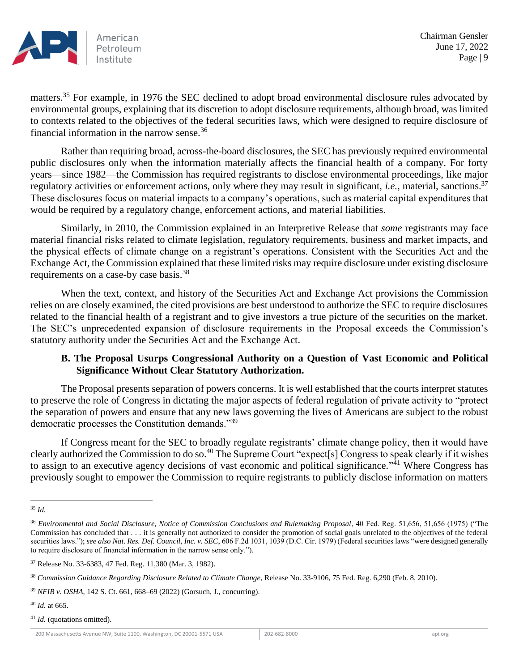

matters.<sup>35</sup> For example, in 1976 the SEC declined to adopt broad environmental disclosure rules advocated by environmental groups, explaining that its discretion to adopt disclosure requirements, although broad, was limited to contexts related to the objectives of the federal securities laws, which were designed to require disclosure of financial information in the narrow sense.<sup>36</sup>

Rather than requiring broad, across-the-board disclosures, the SEC has previously required environmental public disclosures only when the information materially affects the financial health of a company. For forty years—since 1982—the Commission has required registrants to disclose environmental proceedings, like major regulatory activities or enforcement actions, only where they may result in significant, *i.e.*, material, sanctions.<sup>37</sup> These disclosures focus on material impacts to a company's operations, such as material capital expenditures that would be required by a regulatory change, enforcement actions, and material liabilities.

Similarly, in 2010, the Commission explained in an Interpretive Release that *some* registrants may face material financial risks related to climate legislation, regulatory requirements, business and market impacts, and the physical effects of climate change on a registrant's operations. Consistent with the Securities Act and the Exchange Act, the Commission explained that these limited risks may require disclosure under existing disclosure requirements on a case-by case basis.<sup>38</sup>

When the text, context, and history of the Securities Act and Exchange Act provisions the Commission relies on are closely examined, the cited provisions are best understood to authorize the SEC to require disclosures related to the financial health of a registrant and to give investors a true picture of the securities on the market. The SEC's unprecedented expansion of disclosure requirements in the Proposal exceeds the Commission's statutory authority under the Securities Act and the Exchange Act.

### **B. The Proposal Usurps Congressional Authority on a Question of Vast Economic and Political Significance Without Clear Statutory Authorization.**

The Proposal presents separation of powers concerns. It is well established that the courts interpret statutes to preserve the role of Congress in dictating the major aspects of federal regulation of private activity to "protect the separation of powers and ensure that any new laws governing the lives of Americans are subject to the robust democratic processes the Constitution demands."<sup>39</sup>

If Congress meant for the SEC to broadly regulate registrants' climate change policy, then it would have clearly authorized the Commission to do so.<sup>40</sup> The Supreme Court "expect[s] Congress to speak clearly if it wishes to assign to an executive agency decisions of vast economic and political significance."<sup>41</sup> Where Congress has previously sought to empower the Commission to require registrants to publicly disclose information on matters

<sup>41</sup> *Id.* (quotations omitted).

<sup>35</sup> *Id.*

<sup>36</sup> *Environmental and Social Disclosure, Notice of Commission Conclusions and Rulemaking Proposal*, 40 Fed. Reg. 51,656, 51,656 (1975) ("The Commission has concluded that . . . it is generally not authorized to consider the promotion of social goals unrelated to the objectives of the federal securities laws."); *see also Nat. Res. Def. Council, Inc. v. SEC*, 606 F.2d 1031, 1039 (D.C. Cir. 1979) (Federal securities laws "were designed generally to require disclosure of financial information in the narrow sense only.").

<sup>37</sup> Release No. 33-6383, 47 Fed. Reg. 11,380 (Mar. 3, 1982).

<sup>38</sup> *Commission Guidance Regarding Disclosure Related to Climate Change*, Release No. 33-9106, 75 Fed. Reg. 6,290 (Feb. 8, 2010).

<sup>39</sup> *NFIB v. OSHA*, 142 S. Ct. 661, 668–69 (2022) (Gorsuch, J., concurring).

<sup>40</sup> *Id.* at 665.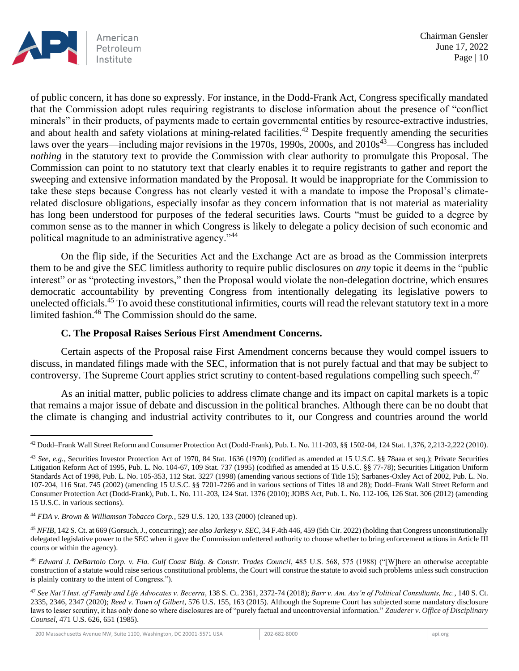

of public concern, it has done so expressly. For instance, in the Dodd-Frank Act, Congress specifically mandated that the Commission adopt rules requiring registrants to disclose information about the presence of "conflict minerals" in their products, of payments made to certain governmental entities by resource-extractive industries, and about health and safety violations at mining-related facilities.<sup>42</sup> Despite frequently amending the securities laws over the years—including major revisions in the 1970s, 1990s, 2000s, and 2010s<sup>43</sup>—Congress has included *nothing* in the statutory text to provide the Commission with clear authority to promulgate this Proposal. The Commission can point to no statutory text that clearly enables it to require registrants to gather and report the sweeping and extensive information mandated by the Proposal. It would be inappropriate for the Commission to take these steps because Congress has not clearly vested it with a mandate to impose the Proposal's climaterelated disclosure obligations, especially insofar as they concern information that is not material as materiality has long been understood for purposes of the federal securities laws. Courts "must be guided to a degree by common sense as to the manner in which Congress is likely to delegate a policy decision of such economic and political magnitude to an administrative agency."<sup>44</sup>

On the flip side, if the Securities Act and the Exchange Act are as broad as the Commission interprets them to be and give the SEC limitless authority to require public disclosures on *any* topic it deems in the "public interest" or as "protecting investors," then the Proposal would violate the non-delegation doctrine, which ensures democratic accountability by preventing Congress from intentionally delegating its legislative powers to unelected officials.<sup>45</sup> To avoid these constitutional infirmities, courts will read the relevant statutory text in a more limited fashion.<sup>46</sup> The Commission should do the same.

### **C. The Proposal Raises Serious First Amendment Concerns.**

Certain aspects of the Proposal raise First Amendment concerns because they would compel issuers to discuss, in mandated filings made with the SEC, information that is not purely factual and that may be subject to controversy. The Supreme Court applies strict scrutiny to content-based regulations compelling such speech.<sup>47</sup>

As an initial matter, public policies to address climate change and its impact on capital markets is a topic that remains a major issue of debate and discussion in the political branches. Although there can be no doubt that the climate is changing and industrial activity contributes to it, our Congress and countries around the world

<sup>42</sup> Dodd–Frank Wall Street Reform and Consumer Protection Act (Dodd-Frank), Pub. L. No. 111-203, §§ 1502-04, 124 Stat. 1,376, 2,213-2,222 (2010).

<sup>43</sup> *See, e.g.*, Securities Investor Protection Act of 1970, 84 Stat. 1636 (1970) (codified as amended at 15 U.S.C. §§ 78aaa et seq.); Private Securities Litigation Reform Act of 1995, Pub. L. No. 104-67, 109 Stat. 737 (1995) (codified as amended at 15 U.S.C. §§ 77-78); Securities Litigation Uniform Standards Act of 1998, Pub. L. No. 105-353, 112 Stat. 3227 (1998) (amending various sections of Title 15); Sarbanes-Oxley Act of 2002, Pub. L. No. 107-204, 116 Stat. 745 (2002) (amending 15 U.S.C. §§ 7201-7266 and in various sections of Titles 18 and 28); Dodd–Frank Wall Street Reform and Consumer Protection Act (Dodd-Frank), Pub. L. No. 111-203, 124 Stat. 1376 (2010); JOBS Act, Pub. L. No. 112-106, 126 Stat. 306 (2012) (amending 15 U.S.C. in various sections).

<sup>44</sup> *FDA v. Brown & Williamson Tobacco Corp.*, 529 U.S. 120, 133 (2000) (cleaned up).

<sup>45</sup> *NFIB*, 142 S. Ct. at 669 (Gorsuch, J., concurring); *see also Jarkesy v. SEC*, 34 F.4th 446, 459 (5th Cir. 2022) (holding that Congress unconstitutionally delegated legislative power to the SEC when it gave the Commission unfettered authority to choose whether to bring enforcement actions in Article III courts or within the agency).

<sup>46</sup> *Edward J. DeBartolo Corp. v. Fla. Gulf Coast Bldg. & Constr. Trades Council*, 485 U.S. 568, 575 (1988) ("[W]here an otherwise acceptable construction of a statute would raise serious constitutional problems, the Court will construe the statute to avoid such problems unless such construction is plainly contrary to the intent of Congress.").

<sup>47</sup> *See Nat'l Inst. of Family and Life Advocates v. Becerra*, 138 S. Ct. 2361, 2372-74 (2018); *Barr v. Am. Ass'n of Political Consultants, Inc.*, 140 S. Ct. 2335, 2346, 2347 (2020); *Reed v. Town of Gilbert*, 576 U.S. 155, 163 (2015). Although the Supreme Court has subjected some mandatory disclosure laws to lesser scrutiny, it has only done so where disclosures are of "purely factual and uncontroversial information." *Zauderer v. Office of Disciplinary Counsel*, 471 U.S. 626, 651 (1985).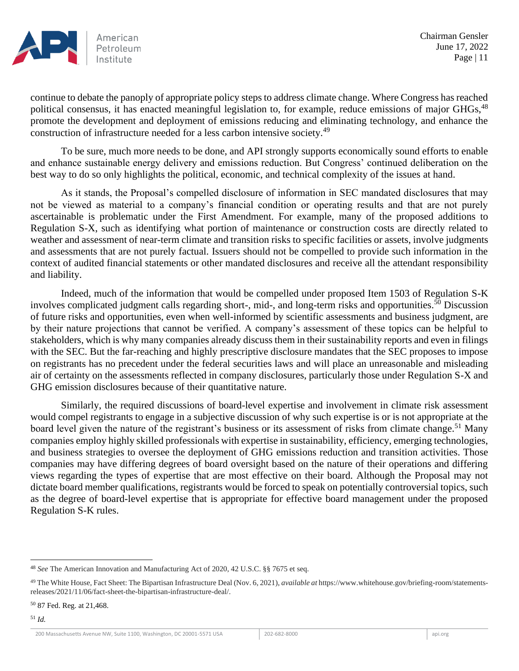

continue to debate the panoply of appropriate policy steps to address climate change. Where Congress has reached political consensus, it has enacted meaningful legislation to, for example, reduce emissions of major GHGs, <sup>48</sup> promote the development and deployment of emissions reducing and eliminating technology, and enhance the construction of infrastructure needed for a less carbon intensive society.<sup>49</sup>

To be sure, much more needs to be done, and API strongly supports economically sound efforts to enable and enhance sustainable energy delivery and emissions reduction. But Congress' continued deliberation on the best way to do so only highlights the political, economic, and technical complexity of the issues at hand.

As it stands, the Proposal's compelled disclosure of information in SEC mandated disclosures that may not be viewed as material to a company's financial condition or operating results and that are not purely ascertainable is problematic under the First Amendment. For example, many of the proposed additions to Regulation S-X, such as identifying what portion of maintenance or construction costs are directly related to weather and assessment of near-term climate and transition risks to specific facilities or assets, involve judgments and assessments that are not purely factual. Issuers should not be compelled to provide such information in the context of audited financial statements or other mandated disclosures and receive all the attendant responsibility and liability.

Indeed, much of the information that would be compelled under proposed Item 1503 of Regulation S-K involves complicated judgment calls regarding short-, mid-, and long-term risks and opportunities.<sup>50</sup> Discussion of future risks and opportunities, even when well-informed by scientific assessments and business judgment, are by their nature projections that cannot be verified. A company's assessment of these topics can be helpful to stakeholders, which is why many companies already discuss them in their sustainability reports and even in filings with the SEC. But the far-reaching and highly prescriptive disclosure mandates that the SEC proposes to impose on registrants has no precedent under the federal securities laws and will place an unreasonable and misleading air of certainty on the assessments reflected in company disclosures, particularly those under Regulation S-X and GHG emission disclosures because of their quantitative nature.

Similarly, the required discussions of board-level expertise and involvement in climate risk assessment would compel registrants to engage in a subjective discussion of why such expertise is or is not appropriate at the board level given the nature of the registrant's business or its assessment of risks from climate change.<sup>51</sup> Many companies employ highly skilled professionals with expertise in sustainability, efficiency, emerging technologies, and business strategies to oversee the deployment of GHG emissions reduction and transition activities. Those companies may have differing degrees of board oversight based on the nature of their operations and differing views regarding the types of expertise that are most effective on their board. Although the Proposal may not dictate board member qualifications, registrants would be forced to speak on potentially controversial topics, such as the degree of board-level expertise that is appropriate for effective board management under the proposed Regulation S-K rules.

<sup>48</sup> *See* The American Innovation and Manufacturing Act of 2020, 42 U.S.C. §§ 7675 et seq.

<sup>49</sup> The White House, Fact Sheet: The Bipartisan Infrastructure Deal (Nov. 6, 2021), *available at* https://www.whitehouse.gov/briefing-room/statementsreleases/2021/11/06/fact-sheet-the-bipartisan-infrastructure-deal/.

<sup>50</sup> 87 Fed. Reg. at 21,468.

<sup>51</sup> *Id.*

<sup>200</sup> Massachusetts Avenue NW, Suite 1100, Washington, DC 20001-5571 USA 202-682-8000 202-682-8000 api.org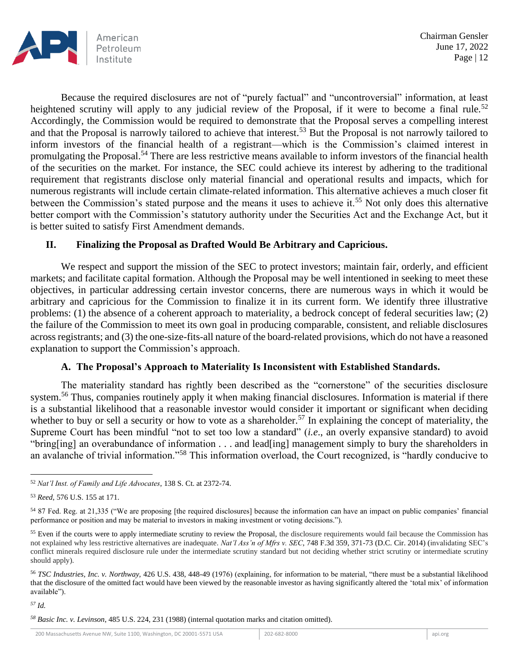

Because the required disclosures are not of "purely factual" and "uncontroversial" information, at least heightened scrutiny will apply to any judicial review of the Proposal, if it were to become a final rule.<sup>52</sup> Accordingly, the Commission would be required to demonstrate that the Proposal serves a compelling interest and that the Proposal is narrowly tailored to achieve that interest.<sup>53</sup> But the Proposal is not narrowly tailored to inform investors of the financial health of a registrant—which is the Commission's claimed interest in promulgating the Proposal.<sup>54</sup> There are less restrictive means available to inform investors of the financial health of the securities on the market. For instance, the SEC could achieve its interest by adhering to the traditional requirement that registrants disclose only material financial and operational results and impacts, which for numerous registrants will include certain climate-related information. This alternative achieves a much closer fit between the Commission's stated purpose and the means it uses to achieve it.<sup>55</sup> Not only does this alternative better comport with the Commission's statutory authority under the Securities Act and the Exchange Act, but it is better suited to satisfy First Amendment demands.

### **II. Finalizing the Proposal as Drafted Would Be Arbitrary and Capricious.**

We respect and support the mission of the SEC to protect investors; maintain fair, orderly, and efficient markets; and facilitate capital formation. Although the Proposal may be well intentioned in seeking to meet these objectives, in particular addressing certain investor concerns, there are numerous ways in which it would be arbitrary and capricious for the Commission to finalize it in its current form. We identify three illustrative problems: (1) the absence of a coherent approach to materiality, a bedrock concept of federal securities law; (2) the failure of the Commission to meet its own goal in producing comparable, consistent, and reliable disclosures across registrants; and (3) the one-size-fits-all nature of the board-related provisions, which do not have a reasoned explanation to support the Commission's approach.

#### **A. The Proposal's Approach to Materiality Is Inconsistent with Established Standards.**

The materiality standard has rightly been described as the "cornerstone" of the securities disclosure system.<sup>56</sup> Thus, companies routinely apply it when making financial disclosures. Information is material if there is a substantial likelihood that a reasonable investor would consider it important or significant when deciding whether to buy or sell a security or how to vote as a shareholder.<sup>57</sup> In explaining the concept of materiality, the Supreme Court has been mindful "not to set too low a standard" (*i.e*., an overly expansive standard) to avoid "bring[ing] an overabundance of information . . . and lead[ing] management simply to bury the shareholders in an avalanche of trivial information."<sup>58</sup> This information overload, the Court recognized, is "hardly conducive to

```
57 Id.
```
<sup>52</sup> *Nat'l Inst. of Family and Life Advocates*, 138 S. Ct. at 2372-74.

<sup>53</sup> *Reed*, 576 U.S. 155 at 171.

<sup>54</sup> 87 Fed. Reg. at 21,335 ("We are proposing [the required disclosures] because the information can have an impact on public companies' financial performance or position and may be material to investors in making investment or voting decisions.").

<sup>&</sup>lt;sup>55</sup> Even if the courts were to apply intermediate scrutiny to review the Proposal, the disclosure requirements would fail because the Commission has not explained why less restrictive alternatives are inadequate. *Nat'l Ass'n of Mfrs v. SEC*, 748 F.3d 359, 371-73 (D.C. Cir. 2014) (invalidating SEC's conflict minerals required disclosure rule under the intermediate scrutiny standard but not deciding whether strict scrutiny or intermediate scrutiny should apply).

<sup>56</sup> *TSC Industries, Inc. v. Northway,* 426 U.S. 438, 448-49 (1976) (explaining, for information to be material, "there must be a substantial likelihood that the disclosure of the omitted fact would have been viewed by the reasonable investor as having significantly altered the 'total mix' of information available").

*<sup>58</sup> Basic Inc. v. Levinson*, 485 U.S. 224, 231 (1988) (internal quotation marks and citation omitted).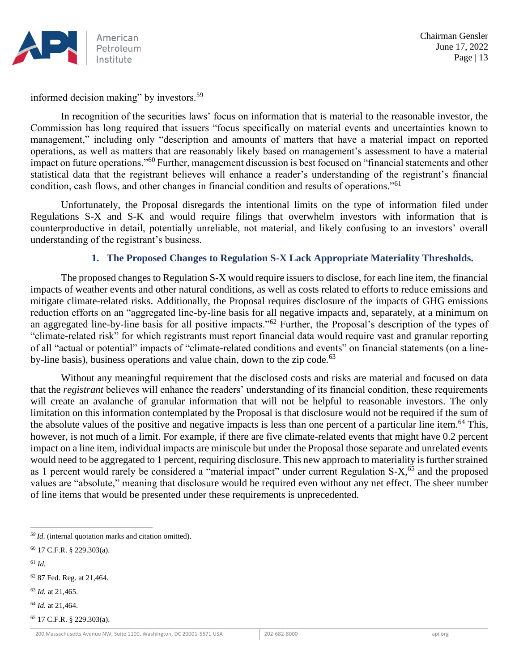

informed decision making" by investors.<sup>59</sup>

In recognition of the securities laws' focus on information that is material to the reasonable investor, the Commission has long required that issuers "focus specifically on material events and uncertainties known to management," including only "description and amounts of matters that have a material impact on reported operations, as well as matters that are reasonably likely based on management's assessment to have a material impact on future operations."<sup>60</sup> Further, management discussion is best focused on "financial statements and other statistical data that the registrant believes will enhance a reader's understanding of the registrant's financial condition, cash flows, and other changes in financial condition and results of operations."<sup>61</sup>

Unfortunately, the Proposal disregards the intentional limits on the type of information filed under Regulations S-X and S-K and would require filings that overwhelm investors with information that is counterproductive in detail, potentially unreliable, not material, and likely confusing to an investors' overall understanding of the registrant's business.

## **1. The Proposed Changes to Regulation S-X Lack Appropriate Materiality Thresholds.**

The proposed changes to Regulation S-X would require issuers to disclose, for each line item, the financial impacts of weather events and other natural conditions, as well as costs related to efforts to reduce emissions and mitigate climate-related risks. Additionally, the Proposal requires disclosure of the impacts of GHG emissions reduction efforts on an "aggregated line-by-line basis for all negative impacts and, separately, at a minimum on an aggregated line-by-line basis for all positive impacts."<sup>62</sup> Further, the Proposal's description of the types of "climate-related risk" for which registrants must report financial data would require vast and granular reporting of all "actual or potential" impacts of "climate-related conditions and events" on financial statements (on a lineby-line basis), business operations and value chain, down to the zip code.<sup>63</sup>

Without any meaningful requirement that the disclosed costs and risks are material and focused on data that the *registrant* believes will enhance the readers' understanding of its financial condition, these requirements will create an avalanche of granular information that will not be helpful to reasonable investors. The only limitation on this information contemplated by the Proposal is that disclosure would not be required if the sum of the absolute values of the positive and negative impacts is less than one percent of a particular line item.<sup>64</sup> This, however, is not much of a limit. For example, if there are five climate-related events that might have 0.2 percent impact on a line item, individual impacts are miniscule but under the Proposal those separate and unrelated events would need to be aggregated to 1 percent, requiring disclosure. This new approach to materiality is further strained as 1 percent would rarely be considered a "material impact" under current Regulation S-X,<sup>65</sup> and the proposed values are "absolute," meaning that disclosure would be required even without any net effect. The sheer number of line items that would be presented under these requirements is unprecedented.

<sup>61</sup> *Id.*

<sup>63</sup> *Id.* at 21,465.

<sup>64</sup> *Id.* at 21,464.

<sup>65</sup> 17 C.F.R. § 229.303(a).

*<sup>59</sup> Id.* (internal quotation marks and citation omitted).

<sup>60</sup> 17 C.F.R. § 229.303(a).

<sup>62</sup> 87 Fed. Reg. at 21,464.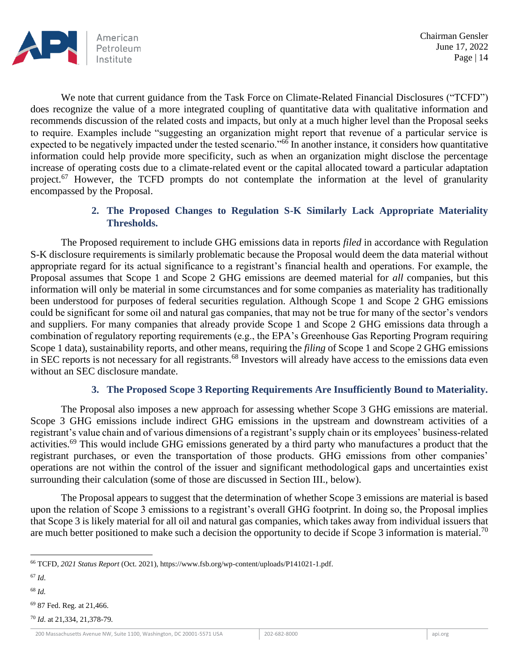

We note that current guidance from the Task Force on Climate-Related Financial Disclosures ("TCFD") does recognize the value of a more integrated coupling of quantitative data with qualitative information and recommends discussion of the related costs and impacts, but only at a much higher level than the Proposal seeks to require. Examples include "suggesting an organization might report that revenue of a particular service is expected to be negatively impacted under the tested scenario."<sup>66</sup> In another instance, it considers how quantitative information could help provide more specificity, such as when an organization might disclose the percentage increase of operating costs due to a climate-related event or the capital allocated toward a particular adaptation project.<sup>67</sup> However, the TCFD prompts do not contemplate the information at the level of granularity encompassed by the Proposal.

# **2. The Proposed Changes to Regulation S-K Similarly Lack Appropriate Materiality Thresholds.**

The Proposed requirement to include GHG emissions data in reports *filed* in accordance with Regulation S-K disclosure requirements is similarly problematic because the Proposal would deem the data material without appropriate regard for its actual significance to a registrant's financial health and operations. For example, the Proposal assumes that Scope 1 and Scope 2 GHG emissions are deemed material for *all* companies, but this information will only be material in some circumstances and for some companies as materiality has traditionally been understood for purposes of federal securities regulation. Although Scope 1 and Scope 2 GHG emissions could be significant for some oil and natural gas companies, that may not be true for many of the sector's vendors and suppliers. For many companies that already provide Scope 1 and Scope 2 GHG emissions data through a combination of regulatory reporting requirements (e.g., the EPA's Greenhouse Gas Reporting Program requiring Scope 1 data), sustainability reports, and other means, requiring the *filing* of Scope 1 and Scope 2 GHG emissions in SEC reports is not necessary for all registrants.<sup>68</sup> Investors will already have access to the emissions data even without an SEC disclosure mandate.

### **3. The Proposed Scope 3 Reporting Requirements Are Insufficiently Bound to Materiality.**

The Proposal also imposes a new approach for assessing whether Scope 3 GHG emissions are material. Scope 3 GHG emissions include indirect GHG emissions in the upstream and downstream activities of a registrant's value chain and of various dimensions of a registrant's supply chain or its employees' business-related activities.<sup>69</sup> This would include GHG emissions generated by a third party who manufactures a product that the registrant purchases, or even the transportation of those products. GHG emissions from other companies' operations are not within the control of the issuer and significant methodological gaps and uncertainties exist surrounding their calculation (some of those are discussed in Section III., below).

The Proposal appears to suggest that the determination of whether Scope 3 emissions are material is based upon the relation of Scope 3 emissions to a registrant's overall GHG footprint. In doing so, the Proposal implies that Scope 3 is likely material for all oil and natural gas companies, which takes away from individual issuers that are much better positioned to make such a decision the opportunity to decide if Scope 3 information is material.<sup>70</sup>

<sup>68</sup> *Id.*

<sup>70</sup> *Id*. at 21,334, 21,378-79.

<sup>66</sup> TCFD, *2021 Status Report* (Oct. 2021), https://www.fsb.org/wp-content/uploads/P141021-1.pdf.

<sup>67</sup> *Id*.

<sup>69</sup> 87 Fed. Reg. at 21,466.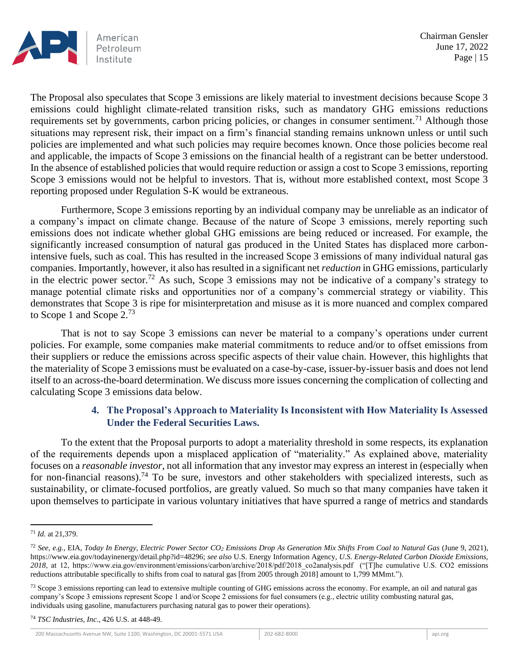

The Proposal also speculates that Scope 3 emissions are likely material to investment decisions because Scope 3 emissions could highlight climate-related transition risks, such as mandatory GHG emissions reductions requirements set by governments, carbon pricing policies, or changes in consumer sentiment.<sup>71</sup> Although those situations may represent risk, their impact on a firm's financial standing remains unknown unless or until such policies are implemented and what such policies may require becomes known. Once those policies become real and applicable, the impacts of Scope 3 emissions on the financial health of a registrant can be better understood. In the absence of established policies that would require reduction or assign a cost to Scope 3 emissions, reporting Scope 3 emissions would not be helpful to investors. That is, without more established context, most Scope 3 reporting proposed under Regulation S-K would be extraneous.

Furthermore, Scope 3 emissions reporting by an individual company may be unreliable as an indicator of a company's impact on climate change. Because of the nature of Scope 3 emissions, merely reporting such emissions does not indicate whether global GHG emissions are being reduced or increased. For example, the significantly increased consumption of natural gas produced in the United States has displaced more carbonintensive fuels, such as coal. This has resulted in the increased Scope 3 emissions of many individual natural gas companies. Importantly, however, it also has resulted in a significant net *reduction* in GHG emissions, particularly in the electric power sector.<sup>72</sup> As such, Scope 3 emissions may not be indicative of a company's strategy to manage potential climate risks and opportunities nor of a company's commercial strategy or viability. This demonstrates that Scope 3 is ripe for misinterpretation and misuse as it is more nuanced and complex compared to Scope 1 and Scope 2.<sup>73</sup>

That is not to say Scope 3 emissions can never be material to a company's operations under current policies. For example, some companies make material commitments to reduce and/or to offset emissions from their suppliers or reduce the emissions across specific aspects of their value chain. However, this highlights that the materiality of Scope 3 emissions must be evaluated on a case-by-case, issuer-by-issuer basis and does not lend itself to an across-the-board determination. We discuss more issues concerning the complication of collecting and calculating Scope 3 emissions data below.

## **4. The Proposal's Approach to Materiality Is Inconsistent with How Materiality Is Assessed Under the Federal Securities Laws.**

To the extent that the Proposal purports to adopt a materiality threshold in some respects, its explanation of the requirements depends upon a misplaced application of "materiality." As explained above, materiality focuses on a *reasonable investor*, not all information that any investor may express an interest in (especially when for non-financial reasons).<sup>74</sup> To be sure, investors and other stakeholders with specialized interests, such as sustainability, or climate-focused portfolios, are greatly valued. So much so that many companies have taken it upon themselves to participate in various voluntary initiatives that have spurred a range of metrics and standards

<sup>74</sup> *TSC Industries, Inc.*, 426 U.S. at 448-49.

<sup>71</sup> *Id.* at 21,379.

<sup>72</sup> *See, e.g.*, EIA, *Today In Energy, Electric Power Sector CO<sup>2</sup> Emissions Drop As Generation Mix Shifts From Coal to Natural Gas* (June 9, 2021), https://www.eia.gov/todayinenergy/detail.php?id=48296; *see also* U.S. Energy Information Agency, *U.S. Energy-Related Carbon Dioxide Emissions, 2018*, at 12, https://www.eia.gov/environment/emissions/carbon/archive/2018/pdf/2018\_co2analysis.pdf ("[T]he cumulative U.S. CO2 emissions reductions attributable specifically to shifts from coal to natural gas [from 2005 through 2018] amount to 1,799 MMmt.").

<sup>&</sup>lt;sup>73</sup> Scope 3 emissions reporting can lead to extensive multiple counting of GHG emissions across the economy. For example, an oil and natural gas company's Scope 3 emissions represent Scope 1 and/or Scope 2 emissions for fuel consumers (e.g., electric utility combusting natural gas, individuals using gasoline, manufacturers purchasing natural gas to power their operations).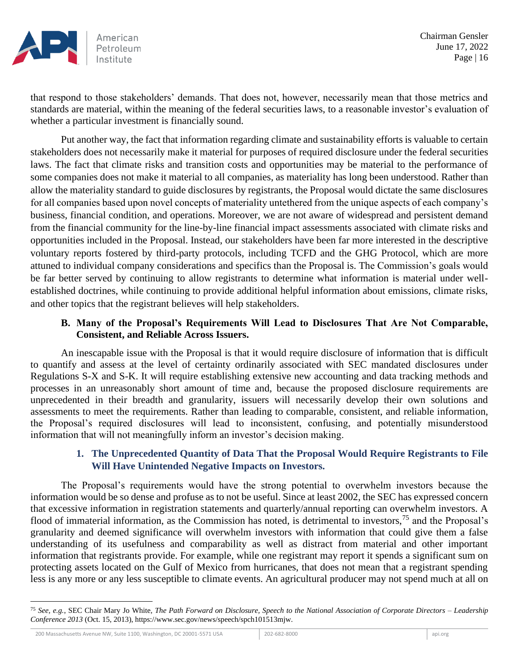

that respond to those stakeholders' demands. That does not, however, necessarily mean that those metrics and standards are material, within the meaning of the federal securities laws, to a reasonable investor's evaluation of whether a particular investment is financially sound.

Put another way, the fact that information regarding climate and sustainability efforts is valuable to certain stakeholders does not necessarily make it material for purposes of required disclosure under the federal securities laws. The fact that climate risks and transition costs and opportunities may be material to the performance of some companies does not make it material to all companies, as materiality has long been understood. Rather than allow the materiality standard to guide disclosures by registrants, the Proposal would dictate the same disclosures for all companies based upon novel concepts of materiality untethered from the unique aspects of each company's business, financial condition, and operations. Moreover, we are not aware of widespread and persistent demand from the financial community for the line-by-line financial impact assessments associated with climate risks and opportunities included in the Proposal. Instead, our stakeholders have been far more interested in the descriptive voluntary reports fostered by third-party protocols, including TCFD and the GHG Protocol, which are more attuned to individual company considerations and specifics than the Proposal is. The Commission's goals would be far better served by continuing to allow registrants to determine what information is material under wellestablished doctrines, while continuing to provide additional helpful information about emissions, climate risks, and other topics that the registrant believes will help stakeholders.

## **B. Many of the Proposal's Requirements Will Lead to Disclosures That Are Not Comparable, Consistent, and Reliable Across Issuers.**

An inescapable issue with the Proposal is that it would require disclosure of information that is difficult to quantify and assess at the level of certainty ordinarily associated with SEC mandated disclosures under Regulations S-X and S-K. It will require establishing extensive new accounting and data tracking methods and processes in an unreasonably short amount of time and, because the proposed disclosure requirements are unprecedented in their breadth and granularity, issuers will necessarily develop their own solutions and assessments to meet the requirements. Rather than leading to comparable, consistent, and reliable information, the Proposal's required disclosures will lead to inconsistent, confusing, and potentially misunderstood information that will not meaningfully inform an investor's decision making.

## **1. The Unprecedented Quantity of Data That the Proposal Would Require Registrants to File Will Have Unintended Negative Impacts on Investors.**

The Proposal's requirements would have the strong potential to overwhelm investors because the information would be so dense and profuse as to not be useful. Since at least 2002, the SEC has expressed concern that excessive information in registration statements and quarterly/annual reporting can overwhelm investors. A flood of immaterial information, as the Commission has noted, is detrimental to investors,<sup>75</sup> and the Proposal's granularity and deemed significance will overwhelm investors with information that could give them a false understanding of its usefulness and comparability as well as distract from material and other important information that registrants provide. For example, while one registrant may report it spends a significant sum on protecting assets located on the Gulf of Mexico from hurricanes, that does not mean that a registrant spending less is any more or any less susceptible to climate events. An agricultural producer may not spend much at all on

<sup>75</sup> *See, e.g.*, SEC Chair Mary Jo White, *The Path Forward on Disclosure, Speech to the National Association of Corporate Directors – Leadership Conference 2013* (Oct. 15, 2013), https://www.sec.gov/news/speech/spch101513mjw.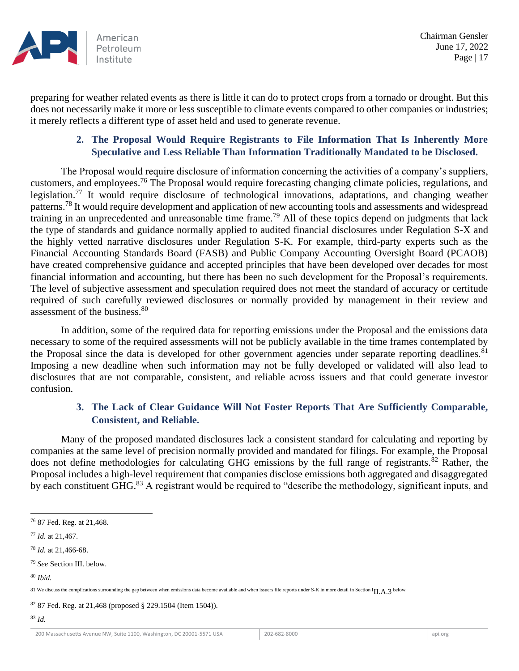

preparing for weather related events as there is little it can do to protect crops from a tornado or drought. But this does not necessarily make it more or less susceptible to climate events compared to other companies or industries; it merely reflects a different type of asset held and used to generate revenue.

## **2. The Proposal Would Require Registrants to File Information That Is Inherently More Speculative and Less Reliable Than Information Traditionally Mandated to be Disclosed.**

The Proposal would require disclosure of information concerning the activities of a company's suppliers, customers, and employees.<sup>76</sup> The Proposal would require forecasting changing climate policies, regulations, and legislation.<sup>77</sup> It would require disclosure of technological innovations, adaptations, and changing weather patterns.<sup>78</sup> It would require development and application of new accounting tools and assessments and widespread training in an unprecedented and unreasonable time frame.<sup>79</sup> All of these topics depend on judgments that lack the type of standards and guidance normally applied to audited financial disclosures under Regulation S-X and the highly vetted narrative disclosures under Regulation S-K. For example, third-party experts such as the Financial Accounting Standards Board (FASB) and Public Company Accounting Oversight Board (PCAOB) have created comprehensive guidance and accepted principles that have been developed over decades for most financial information and accounting, but there has been no such development for the Proposal's requirements. The level of subjective assessment and speculation required does not meet the standard of accuracy or certitude required of such carefully reviewed disclosures or normally provided by management in their review and assessment of the business.<sup>80</sup>

In addition, some of the required data for reporting emissions under the Proposal and the emissions data necessary to some of the required assessments will not be publicly available in the time frames contemplated by the Proposal since the data is developed for other government agencies under separate reporting deadlines.<sup>81</sup> Imposing a new deadline when such information may not be fully developed or validated will also lead to disclosures that are not comparable, consistent, and reliable across issuers and that could generate investor confusion.

## **3. The Lack of Clear Guidance Will Not Foster Reports That Are Sufficiently Comparable, Consistent, and Reliable.**

Many of the proposed mandated disclosures lack a consistent standard for calculating and reporting by companies at the same level of precision normally provided and mandated for filings. For example, the Proposal does not define methodologies for calculating GHG emissions by the full range of registrants.<sup>82</sup> Rather, the Proposal includes a high-level requirement that companies disclose emissions both aggregated and disaggregated by each constituent GHG.<sup>83</sup> A registrant would be required to "describe the methodology, significant inputs, and

<sup>82</sup> 87 Fed. Reg. at 21,468 (proposed § 229.1504 (Item 1504)).

<sup>76</sup> 87 Fed. Reg. at 21,468.

<sup>77</sup> *Id.* at 21,467.

<sup>78</sup> *Id.* at 21,466-68.

<sup>79</sup> *See* Section III. below.

<sup>80</sup> *Ibid.*

<sup>81</sup> We discuss the complications surrounding the gap between when emissions data become available and when issuers file reports under S-K in more detail in Section III. A. 3 below.

<sup>83</sup> *Id.*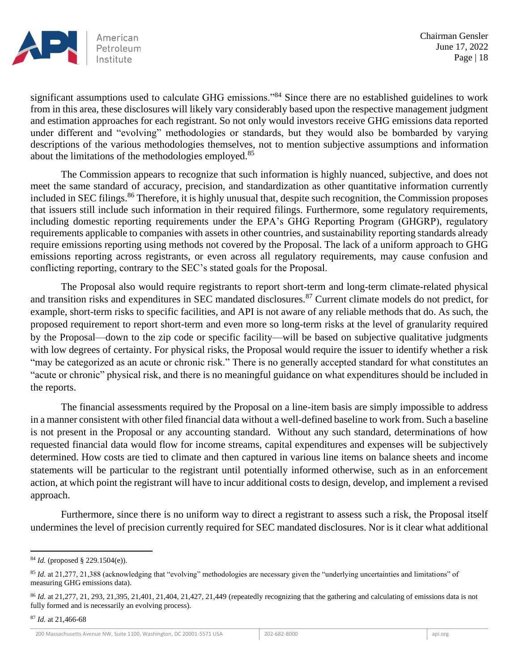

significant assumptions used to calculate GHG emissions."<sup>84</sup> Since there are no established guidelines to work from in this area, these disclosures will likely vary considerably based upon the respective management judgment and estimation approaches for each registrant. So not only would investors receive GHG emissions data reported under different and "evolving" methodologies or standards, but they would also be bombarded by varying descriptions of the various methodologies themselves, not to mention subjective assumptions and information about the limitations of the methodologies employed.<sup>85</sup>

The Commission appears to recognize that such information is highly nuanced, subjective, and does not meet the same standard of accuracy, precision, and standardization as other quantitative information currently included in SEC filings.<sup>86</sup> Therefore, it is highly unusual that, despite such recognition, the Commission proposes that issuers still include such information in their required filings. Furthermore, some regulatory requirements, including domestic reporting requirements under the EPA's GHG Reporting Program (GHGRP), regulatory requirements applicable to companies with assets in other countries, and sustainability reporting standards already require emissions reporting using methods not covered by the Proposal. The lack of a uniform approach to GHG emissions reporting across registrants, or even across all regulatory requirements, may cause confusion and conflicting reporting, contrary to the SEC's stated goals for the Proposal.

The Proposal also would require registrants to report short-term and long-term climate-related physical and transition risks and expenditures in SEC mandated disclosures.<sup>87</sup> Current climate models do not predict, for example, short-term risks to specific facilities, and API is not aware of any reliable methods that do. As such, the proposed requirement to report short-term and even more so long-term risks at the level of granularity required by the Proposal—down to the zip code or specific facility—will be based on subjective qualitative judgments with low degrees of certainty. For physical risks, the Proposal would require the issuer to identify whether a risk "may be categorized as an acute or chronic risk." There is no generally accepted standard for what constitutes an "acute or chronic" physical risk, and there is no meaningful guidance on what expenditures should be included in the reports.

The financial assessments required by the Proposal on a line-item basis are simply impossible to address in a manner consistent with other filed financial data without a well-defined baseline to work from. Such a baseline is not present in the Proposal or any accounting standard. Without any such standard, determinations of how requested financial data would flow for income streams, capital expenditures and expenses will be subjectively determined. How costs are tied to climate and then captured in various line items on balance sheets and income statements will be particular to the registrant until potentially informed otherwise, such as in an enforcement action, at which point the registrant will have to incur additional costs to design, develop, and implement a revised approach.

Furthermore, since there is no uniform way to direct a registrant to assess such a risk, the Proposal itself undermines the level of precision currently required for SEC mandated disclosures. Nor is it clear what additional

<sup>84</sup> *Id.* (proposed § 229.1504(e)).

<sup>&</sup>lt;sup>85</sup> *Id.* at 21,277, 21,388 (acknowledging that "evolving" methodologies are necessary given the "underlying uncertainties and limitations" of measuring GHG emissions data).

<sup>86</sup> *Id.* at 21,277, 21, 293, 21,395, 21,401, 21,404, 21,427, 21,449 (repeatedly recognizing that the gathering and calculating of emissions data is not fully formed and is necessarily an evolving process).

<sup>87</sup> *Id.* at 21,466-68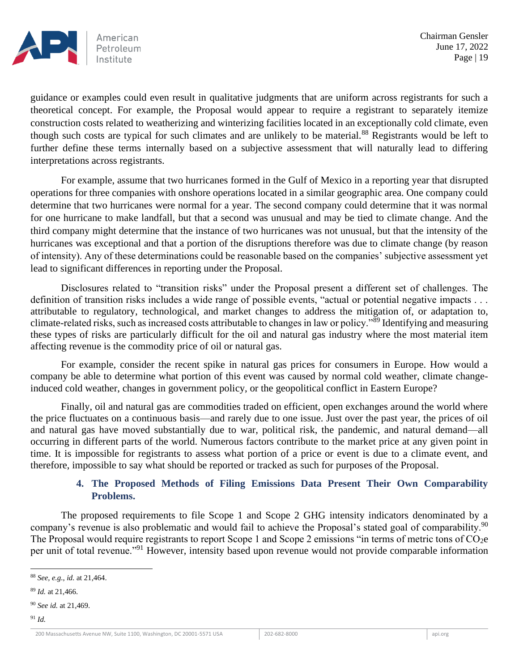

guidance or examples could even result in qualitative judgments that are uniform across registrants for such a theoretical concept. For example, the Proposal would appear to require a registrant to separately itemize construction costs related to weatherizing and winterizing facilities located in an exceptionally cold climate, even though such costs are typical for such climates and are unlikely to be material.<sup>88</sup> Registrants would be left to further define these terms internally based on a subjective assessment that will naturally lead to differing interpretations across registrants.

For example, assume that two hurricanes formed in the Gulf of Mexico in a reporting year that disrupted operations for three companies with onshore operations located in a similar geographic area. One company could determine that two hurricanes were normal for a year. The second company could determine that it was normal for one hurricane to make landfall, but that a second was unusual and may be tied to climate change. And the third company might determine that the instance of two hurricanes was not unusual, but that the intensity of the hurricanes was exceptional and that a portion of the disruptions therefore was due to climate change (by reason of intensity). Any of these determinations could be reasonable based on the companies' subjective assessment yet lead to significant differences in reporting under the Proposal.

Disclosures related to "transition risks" under the Proposal present a different set of challenges. The definition of transition risks includes a wide range of possible events, "actual or potential negative impacts . . . attributable to regulatory, technological, and market changes to address the mitigation of, or adaptation to, climate-related risks, such as increased costs attributable to changes in law or policy."<sup>89</sup> Identifying and measuring these types of risks are particularly difficult for the oil and natural gas industry where the most material item affecting revenue is the commodity price of oil or natural gas.

For example, consider the recent spike in natural gas prices for consumers in Europe. How would a company be able to determine what portion of this event was caused by normal cold weather, climate changeinduced cold weather, changes in government policy, or the geopolitical conflict in Eastern Europe?

Finally, oil and natural gas are commodities traded on efficient, open exchanges around the world where the price fluctuates on a continuous basis—and rarely due to one issue. Just over the past year, the prices of oil and natural gas have moved substantially due to war, political risk, the pandemic, and natural demand—all occurring in different parts of the world. Numerous factors contribute to the market price at any given point in time. It is impossible for registrants to assess what portion of a price or event is due to a climate event, and therefore, impossible to say what should be reported or tracked as such for purposes of the Proposal.

## **4. The Proposed Methods of Filing Emissions Data Present Their Own Comparability Problems.**

The proposed requirements to file Scope 1 and Scope 2 GHG intensity indicators denominated by a company's revenue is also problematic and would fail to achieve the Proposal's stated goal of comparability.<sup>90</sup> The Proposal would require registrants to report Scope 1 and Scope 2 emissions "in terms of metric tons of  $CO<sub>2</sub>e$ per unit of total revenue."<sup>91</sup> However, intensity based upon revenue would not provide comparable information

<sup>88</sup> *See, e.g.*, *id.* at 21,464.

<sup>89</sup> *Id.* at 21,466.

<sup>90</sup> *See id.* at 21,469.

<sup>91</sup> *Id.*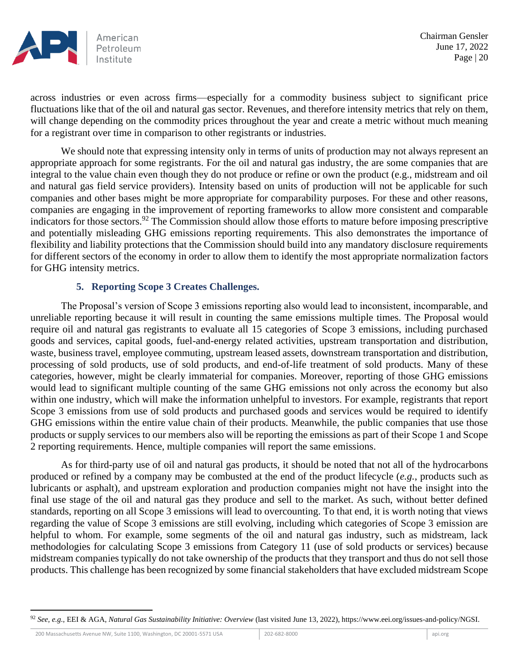

across industries or even across firms—especially for a commodity business subject to significant price fluctuations like that of the oil and natural gas sector. Revenues, and therefore intensity metrics that rely on them, will change depending on the commodity prices throughout the year and create a metric without much meaning for a registrant over time in comparison to other registrants or industries.

We should note that expressing intensity only in terms of units of production may not always represent an appropriate approach for some registrants. For the oil and natural gas industry, the are some companies that are integral to the value chain even though they do not produce or refine or own the product (e.g., midstream and oil and natural gas field service providers). Intensity based on units of production will not be applicable for such companies and other bases might be more appropriate for comparability purposes. For these and other reasons, companies are engaging in the improvement of reporting frameworks to allow more consistent and comparable indicators for those sectors.<sup>92</sup> The Commission should allow those efforts to mature before imposing prescriptive and potentially misleading GHG emissions reporting requirements. This also demonstrates the importance of flexibility and liability protections that the Commission should build into any mandatory disclosure requirements for different sectors of the economy in order to allow them to identify the most appropriate normalization factors for GHG intensity metrics.

### **5. Reporting Scope 3 Creates Challenges.**

The Proposal's version of Scope 3 emissions reporting also would lead to inconsistent, incomparable, and unreliable reporting because it will result in counting the same emissions multiple times. The Proposal would require oil and natural gas registrants to evaluate all 15 categories of Scope 3 emissions, including purchased goods and services, capital goods, fuel-and-energy related activities, upstream transportation and distribution, waste, business travel, employee commuting, upstream leased assets, downstream transportation and distribution, processing of sold products, use of sold products, and end-of-life treatment of sold products. Many of these categories, however, might be clearly immaterial for companies. Moreover, reporting of those GHG emissions would lead to significant multiple counting of the same GHG emissions not only across the economy but also within one industry, which will make the information unhelpful to investors. For example, registrants that report Scope 3 emissions from use of sold products and purchased goods and services would be required to identify GHG emissions within the entire value chain of their products. Meanwhile, the public companies that use those products or supply services to our members also will be reporting the emissions as part of their Scope 1 and Scope 2 reporting requirements. Hence, multiple companies will report the same emissions.

As for third-party use of oil and natural gas products, it should be noted that not all of the hydrocarbons produced or refined by a company may be combusted at the end of the product lifecycle (*e.g.*, products such as lubricants or asphalt), and upstream exploration and production companies might not have the insight into the final use stage of the oil and natural gas they produce and sell to the market. As such, without better defined standards, reporting on all Scope 3 emissions will lead to overcounting. To that end, it is worth noting that views regarding the value of Scope 3 emissions are still evolving, including which categories of Scope 3 emission are helpful to whom. For example, some segments of the oil and natural gas industry, such as midstream, lack methodologies for calculating Scope 3 emissions from Category 11 (use of sold products or services) because midstream companies typically do not take ownership of the products that they transport and thus do not sell those products. This challenge has been recognized by some financial stakeholders that have excluded midstream Scope

<sup>92</sup> *See, e.g.*, EEI & AGA, *Natural Gas Sustainability Initiative: Overview* (last visited June 13, 2022), https://www.eei.org/issues-and-policy/NGSI.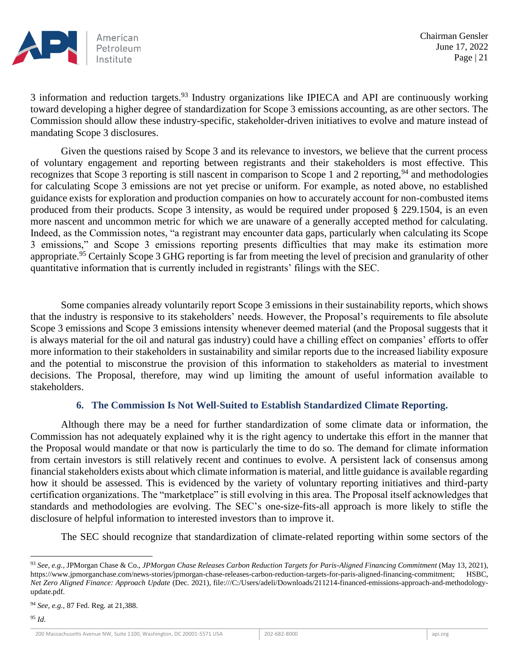

3 information and reduction targets.<sup>93</sup> Industry organizations like IPIECA and API are continuously working toward developing a higher degree of standardization for Scope 3 emissions accounting, as are other sectors. The Commission should allow these industry-specific, stakeholder-driven initiatives to evolve and mature instead of mandating Scope 3 disclosures.

Given the questions raised by Scope 3 and its relevance to investors, we believe that the current process of voluntary engagement and reporting between registrants and their stakeholders is most effective. This recognizes that Scope 3 reporting is still nascent in comparison to Scope 1 and 2 reporting, <sup>94</sup> and methodologies for calculating Scope 3 emissions are not yet precise or uniform. For example, as noted above, no established guidance exists for exploration and production companies on how to accurately account for non-combusted items produced from their products. Scope 3 intensity, as would be required under proposed § 229.1504, is an even more nascent and uncommon metric for which we are unaware of a generally accepted method for calculating. Indeed, as the Commission notes, "a registrant may encounter data gaps, particularly when calculating its Scope 3 emissions," and Scope 3 emissions reporting presents difficulties that may make its estimation more appropriate.<sup>95</sup> Certainly Scope 3 GHG reporting is far from meeting the level of precision and granularity of other quantitative information that is currently included in registrants' filings with the SEC.

Some companies already voluntarily report Scope 3 emissions in their sustainability reports, which shows that the industry is responsive to its stakeholders' needs. However, the Proposal's requirements to file absolute Scope 3 emissions and Scope 3 emissions intensity whenever deemed material (and the Proposal suggests that it is always material for the oil and natural gas industry) could have a chilling effect on companies' efforts to offer more information to their stakeholders in sustainability and similar reports due to the increased liability exposure and the potential to misconstrue the provision of this information to stakeholders as material to investment decisions. The Proposal, therefore, may wind up limiting the amount of useful information available to stakeholders.

### **6. The Commission Is Not Well-Suited to Establish Standardized Climate Reporting.**

Although there may be a need for further standardization of some climate data or information, the Commission has not adequately explained why it is the right agency to undertake this effort in the manner that the Proposal would mandate or that now is particularly the time to do so. The demand for climate information from certain investors is still relatively recent and continues to evolve. A persistent lack of consensus among financial stakeholders exists about which climate information is material, and little guidance is available regarding how it should be assessed. This is evidenced by the variety of voluntary reporting initiatives and third-party certification organizations. The "marketplace" is still evolving in this area. The Proposal itself acknowledges that standards and methodologies are evolving. The SEC's one-size-fits-all approach is more likely to stifle the disclosure of helpful information to interested investors than to improve it.

The SEC should recognize that standardization of climate-related reporting within some sectors of the

<sup>93</sup> *See, e.g.*, JPMorgan Chase & Co., *JPMorgan Chase Releases Carbon Reduction Targets for Paris-Aligned Financing Commitment* (May 13, 2021), https://www.jpmorganchase.com/news-stories/jpmorgan-chase-releases-carbon-reduction-targets-for-paris-aligned-financing-commitment; HSBC, *Net Zero Aligned Finance: Approach Update* (Dec. 2021), file:///C:/Users/adeli/Downloads/211214-financed-emissions-approach-and-methodologyupdate.pdf.

<sup>94</sup> *See, e.g.,* 87 Fed. Reg. at 21,388.

<sup>95</sup> *Id*.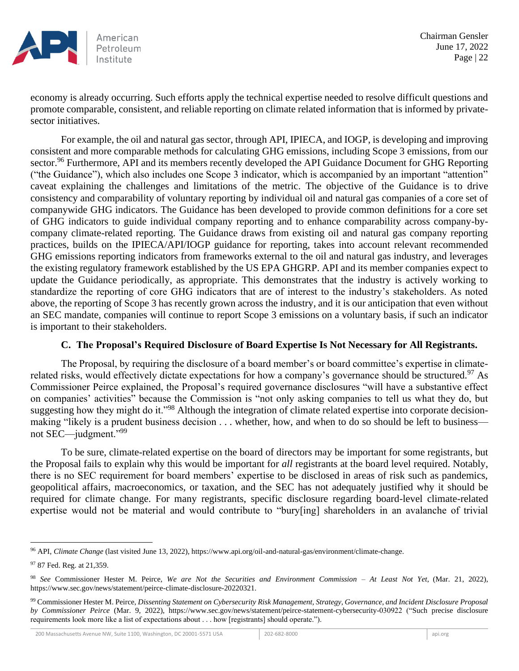

economy is already occurring. Such efforts apply the technical expertise needed to resolve difficult questions and promote comparable, consistent, and reliable reporting on climate related information that is informed by privatesector initiatives.

For example, the oil and natural gas sector, through API, IPIECA, and IOGP, is developing and improving consistent and more comparable methods for calculating GHG emissions, including Scope 3 emissions, from our sector.<sup>96</sup> Furthermore, API and its members recently developed the API Guidance Document for GHG Reporting ("the Guidance"), which also includes one Scope 3 indicator, which is accompanied by an important "attention" caveat explaining the challenges and limitations of the metric. The objective of the Guidance is to drive consistency and comparability of voluntary reporting by individual oil and natural gas companies of a core set of companywide GHG indicators. The Guidance has been developed to provide common definitions for a core set of GHG indicators to guide individual company reporting and to enhance comparability across company-bycompany climate-related reporting. The Guidance draws from existing oil and natural gas company reporting practices, builds on the IPIECA/API/IOGP guidance for reporting, takes into account relevant recommended GHG emissions reporting indicators from frameworks external to the oil and natural gas industry, and leverages the existing regulatory framework established by the US EPA GHGRP. API and its member companies expect to update the Guidance periodically, as appropriate. This demonstrates that the industry is actively working to standardize the reporting of core GHG indicators that are of interest to the industry's stakeholders. As noted above, the reporting of Scope 3 has recently grown across the industry, and it is our anticipation that even without an SEC mandate, companies will continue to report Scope 3 emissions on a voluntary basis, if such an indicator is important to their stakeholders.

### **C. The Proposal's Required Disclosure of Board Expertise Is Not Necessary for All Registrants.**

The Proposal, by requiring the disclosure of a board member's or board committee's expertise in climaterelated risks, would effectively dictate expectations for how a company's governance should be structured.<sup>97</sup> As Commissioner Peirce explained, the Proposal's required governance disclosures "will have a substantive effect on companies' activities" because the Commission is "not only asking companies to tell us what they do, but suggesting how they might do it."<sup>98</sup> Although the integration of climate related expertise into corporate decisionmaking "likely is a prudent business decision . . . whether, how, and when to do so should be left to business not SEC—judgment."<sup>99</sup>

To be sure, climate-related expertise on the board of directors may be important for some registrants, but the Proposal fails to explain why this would be important for *all* registrants at the board level required. Notably, there is no SEC requirement for board members' expertise to be disclosed in areas of risk such as pandemics, geopolitical affairs, macroeconomics, or taxation, and the SEC has not adequately justified why it should be required for climate change. For many registrants, specific disclosure regarding board-level climate-related expertise would not be material and would contribute to "bury[ing] shareholders in an avalanche of trivial

<sup>96</sup> API, *Climate Change* (last visited June 13, 2022), https://www.api.org/oil-and-natural-gas/environment/climate-change.

<sup>&</sup>lt;sup>97</sup> 87 Fed. Reg. at 21,359.

<sup>98</sup> *See* Commissioner Hester M. Peirce, *We are Not the Securities and Environment Commission – At Least Not Yet*, (Mar. 21, 2022), https://www.sec.gov/news/statement/peirce-climate-disclosure-20220321.

<sup>99</sup> Commissioner Hester M. Peirce, *Dissenting Statement on Cybersecurity Risk Management, Strategy, Governance, and Incident Disclosure Proposal by Commissioner Peirce* (Mar. 9, 2022), https://www.sec.gov/news/statement/peirce-statement-cybersecurity-030922 ("Such precise disclosure requirements look more like a list of expectations about . . . how [registrants] should operate.").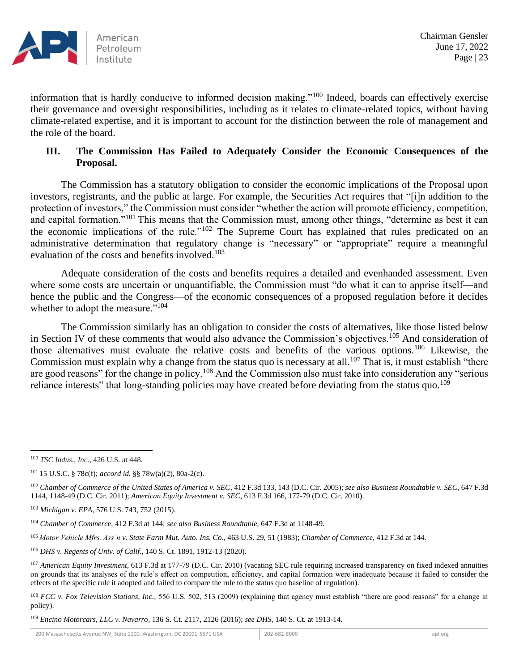

information that is hardly conducive to informed decision making."<sup>100</sup> Indeed, boards can effectively exercise their governance and oversight responsibilities, including as it relates to climate-related topics, without having climate-related expertise, and it is important to account for the distinction between the role of management and the role of the board.

## **III. The Commission Has Failed to Adequately Consider the Economic Consequences of the Proposal.**

The Commission has a statutory obligation to consider the economic implications of the Proposal upon investors, registrants, and the public at large. For example, the Securities Act requires that "[i]n addition to the protection of investors," the Commission must consider "whether the action will promote efficiency, competition, and capital formation."<sup>101</sup> This means that the Commission must, among other things, "determine as best it can the economic implications of the rule."<sup>102</sup> The Supreme Court has explained that rules predicated on an administrative determination that regulatory change is "necessary" or "appropriate" require a meaningful evaluation of the costs and benefits involved.<sup>103</sup>

Adequate consideration of the costs and benefits requires a detailed and evenhanded assessment. Even where some costs are uncertain or unquantifiable, the Commission must "do what it can to apprise itself—and hence the public and the Congress—of the economic consequences of a proposed regulation before it decides whether to adopt the measure."<sup>104</sup>

The Commission similarly has an obligation to consider the costs of alternatives, like those listed below in Section IV of these comments that would also advance the Commission's objectives.<sup>105</sup> And consideration of those alternatives must evaluate the relative costs and benefits of the various options.<sup>106</sup> Likewise, the Commission must explain why a change from the status quo is necessary at all.<sup>107</sup> That is, it must establish "there are good reasons" for the change in policy.<sup>108</sup> And the Commission also must take into consideration any "serious reliance interests" that long-standing policies may have created before deviating from the status quo.<sup>109</sup>

<sup>109</sup> *Encino Motorcars, LLC v. Navarro*, 136 S. Ct. 2117, 2126 (2016); *see DHS*, 140 S. Ct. at 1913-14.

<sup>100</sup> *TSC Indus., Inc.,* 426 U.S. at 448.

<sup>101</sup> 15 U.S.C. § 78c(f); *accord id.* §§ 78w(a)(2), 80a-2(c).

<sup>102</sup> *Chamber of Commerce of the United States of America v. SEC*, 412 F.3d 133, 143 (D.C. Cir. 2005); *see also Business Roundtable v. SEC*, 647 F.3d 1144, 1148-49 (D.C. Cir. 2011); *American Equity Investment v. SEC*, 613 F.3d 166, 177-79 (D.C. Cir. 2010).

<sup>103</sup> *Michigan v. EPA*, 576 U.S. 743, 752 (2015).

<sup>104</sup> *Chamber of Commerc*e, 412 F.3d at 144; *see also Business Roundtable*, 647 F.3d at 1148-49.

<sup>105</sup> *Motor Vehicle Mfrs. Ass'n v. State Farm Mut. Auto. Ins. Co.*, 463 U.S. 29, 51 (1983); *Chamber of Commerce*, 412 F.3d at 144.

<sup>106</sup> *DHS v. Regents of Univ. of Calif.*, 140 S. Ct. 1891, 1912-13 (2020).

<sup>107</sup> *American Equity Investment*, 613 F.3d at 177-79 (D.C. Cir. 2010) (vacating SEC rule requiring increased transparency on fixed indexed annuities on grounds that its analyses of the rule's effect on competition, efficiency, and capital formation were inadequate because it failed to consider the effects of the specific rule it adopted and failed to compare the rule to the status quo baseline of regulation).

<sup>&</sup>lt;sup>108</sup> *FCC v. Fox Television Stations, Inc.*, 556 U.S. 502, 513 (2009) (explaining that agency must establish "there are good reasons" for a change in policy).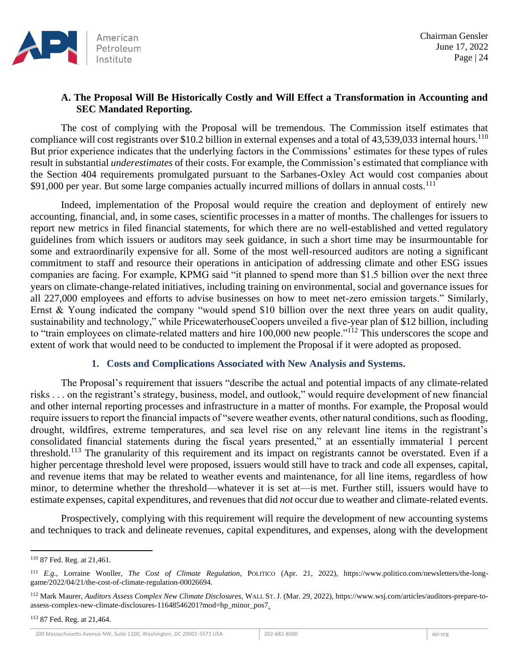# **A. The Proposal Will Be Historically Costly and Will Effect a Transformation in Accounting and SEC Mandated Reporting.**

The cost of complying with the Proposal will be tremendous. The Commission itself estimates that compliance will cost registrants over \$10.2 billion in external expenses and a total of  $43,539,033$  internal hours.<sup>110</sup> But prior experience indicates that the underlying factors in the Commissions' estimates for these types of rules result in substantial *underestimates* of their costs. For example, the Commission's estimated that compliance with the Section 404 requirements promulgated pursuant to the Sarbanes-Oxley Act would cost companies about \$91,000 per year. But some large companies actually incurred millions of dollars in annual costs.<sup>111</sup>

Indeed, implementation of the Proposal would require the creation and deployment of entirely new accounting, financial, and, in some cases, scientific processes in a matter of months. The challenges for issuers to report new metrics in filed financial statements, for which there are no well-established and vetted regulatory guidelines from which issuers or auditors may seek guidance, in such a short time may be insurmountable for some and extraordinarily expensive for all. Some of the most well-resourced auditors are noting a significant commitment to staff and resource their operations in anticipation of addressing climate and other ESG issues companies are facing. For example, KPMG said "it planned to spend more than \$1.5 billion over the next three years on climate-change-related initiatives, including training on environmental, social and governance issues for all 227,000 employees and efforts to advise businesses on how to meet net-zero emission targets." Similarly, Ernst & Young indicated the company "would spend \$10 billion over the next three years on audit quality, sustainability and technology," while PricewaterhouseCoopers unveiled a five-year plan of \$12 billion, including to "train employees on climate-related matters and hire 100,000 new people."<sup>112</sup> This underscores the scope and extent of work that would need to be conducted to implement the Proposal if it were adopted as proposed.

## **1. Costs and Complications Associated with New Analysis and Systems.**

The Proposal's requirement that issuers "describe the actual and potential impacts of any climate-related risks . . . on the registrant's strategy, business, model, and outlook," would require development of new financial and other internal reporting processes and infrastructure in a matter of months. For example, the Proposal would require issuers to report the financial impacts of "severe weather events, other natural conditions, such as flooding, drought, wildfires, extreme temperatures, and sea level rise on any relevant line items in the registrant's consolidated financial statements during the fiscal years presented," at an essentially immaterial 1 percent threshold.<sup>113</sup> The granularity of this requirement and its impact on registrants cannot be overstated. Even if a higher percentage threshold level were proposed, issuers would still have to track and code all expenses, capital, and revenue items that may be related to weather events and maintenance, for all line items, regardless of how minor, to determine whether the threshold—whatever it is set at—is met. Further still, issuers would have to estimate expenses, capital expenditures, and revenues that did *not* occur due to weather and climate-related events.

Prospectively, complying with this requirement will require the development of new accounting systems and techniques to track and delineate revenues, capital expenditures, and expenses, along with the development

<sup>110</sup> 87 Fed. Reg. at 21,461.

<sup>111</sup> *E.g.,* Lorraine Wooller, *The Cost of Climate Regulation*, POLITICO (Apr. 21, 2022), https://www.politico.com/newsletters/the-longgame/2022/04/21/the-cost-of-climate-regulation-00026694.

<sup>112</sup> Mark Maurer, *Auditors Assess Complex New Climate Disclosures*, WALL ST. J. (Mar. 29, 2022), https://www.wsj.com/articles/auditors-prepare-toassess-complex-new-climate-disclosures-11648546201?mod=hp\_minor\_pos7.

<sup>113</sup> 87 Fed. Reg. at 21,464.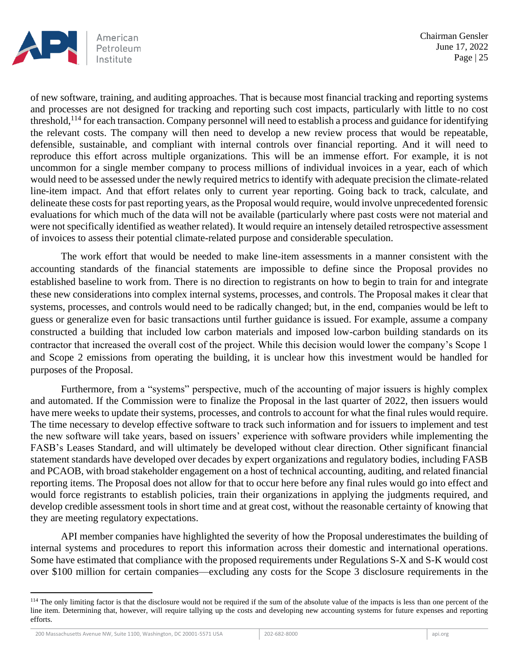

of new software, training, and auditing approaches. That is because most financial tracking and reporting systems and processes are not designed for tracking and reporting such cost impacts, particularly with little to no cost threshold,<sup>114</sup> for each transaction. Company personnel will need to establish a process and guidance for identifying the relevant costs. The company will then need to develop a new review process that would be repeatable, defensible, sustainable, and compliant with internal controls over financial reporting. And it will need to reproduce this effort across multiple organizations. This will be an immense effort. For example, it is not uncommon for a single member company to process millions of individual invoices in a year, each of which would need to be assessed under the newly required metrics to identify with adequate precision the climate-related line-item impact. And that effort relates only to current year reporting. Going back to track, calculate, and delineate these costs for past reporting years, as the Proposal would require, would involve unprecedented forensic evaluations for which much of the data will not be available (particularly where past costs were not material and were not specifically identified as weather related). It would require an intensely detailed retrospective assessment of invoices to assess their potential climate-related purpose and considerable speculation.

The work effort that would be needed to make line-item assessments in a manner consistent with the accounting standards of the financial statements are impossible to define since the Proposal provides no established baseline to work from. There is no direction to registrants on how to begin to train for and integrate these new considerations into complex internal systems, processes, and controls. The Proposal makes it clear that systems, processes, and controls would need to be radically changed; but, in the end, companies would be left to guess or generalize even for basic transactions until further guidance is issued. For example, assume a company constructed a building that included low carbon materials and imposed low-carbon building standards on its contractor that increased the overall cost of the project. While this decision would lower the company's Scope 1 and Scope 2 emissions from operating the building, it is unclear how this investment would be handled for purposes of the Proposal.

Furthermore, from a "systems" perspective, much of the accounting of major issuers is highly complex and automated. If the Commission were to finalize the Proposal in the last quarter of 2022, then issuers would have mere weeks to update their systems, processes, and controls to account for what the final rules would require. The time necessary to develop effective software to track such information and for issuers to implement and test the new software will take years, based on issuers' experience with software providers while implementing the FASB's Leases Standard, and will ultimately be developed without clear direction. Other significant financial statement standards have developed over decades by expert organizations and regulatory bodies, including FASB and PCAOB, with broad stakeholder engagement on a host of technical accounting, auditing, and related financial reporting items. The Proposal does not allow for that to occur here before any final rules would go into effect and would force registrants to establish policies, train their organizations in applying the judgments required, and develop credible assessment tools in short time and at great cost, without the reasonable certainty of knowing that they are meeting regulatory expectations.

API member companies have highlighted the severity of how the Proposal underestimates the building of internal systems and procedures to report this information across their domestic and international operations. Some have estimated that compliance with the proposed requirements under Regulations S-X and S-K would cost over \$100 million for certain companies—excluding any costs for the Scope 3 disclosure requirements in the

<sup>&</sup>lt;sup>114</sup> The only limiting factor is that the disclosure would not be required if the sum of the absolute value of the impacts is less than one percent of the line item. Determining that, however, will require tallying up the costs and developing new accounting systems for future expenses and reporting efforts.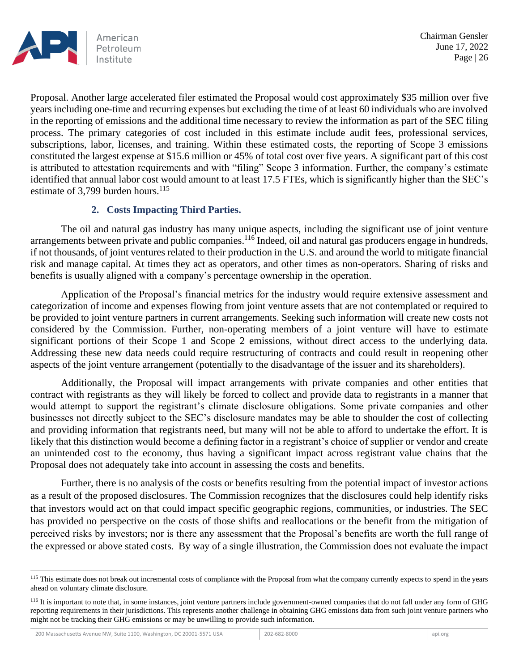

Proposal. Another large accelerated filer estimated the Proposal would cost approximately \$35 million over five years including one-time and recurring expenses but excluding the time of at least 60 individuals who are involved in the reporting of emissions and the additional time necessary to review the information as part of the SEC filing process. The primary categories of cost included in this estimate include audit fees, professional services, subscriptions, labor, licenses, and training. Within these estimated costs, the reporting of Scope 3 emissions constituted the largest expense at \$15.6 million or 45% of total cost over five years. A significant part of this cost is attributed to attestation requirements and with "filing" Scope 3 information. Further, the company's estimate identified that annual labor cost would amount to at least 17.5 FTEs, which is significantly higher than the SEC's estimate of 3,799 burden hours. $^{115}$ 

### **2. Costs Impacting Third Parties.**

The oil and natural gas industry has many unique aspects, including the significant use of joint venture arrangements between private and public companies.<sup>116</sup> Indeed, oil and natural gas producers engage in hundreds, if not thousands, of joint ventures related to their production in the U.S. and around the world to mitigate financial risk and manage capital. At times they act as operators, and other times as non-operators. Sharing of risks and benefits is usually aligned with a company's percentage ownership in the operation.

Application of the Proposal's financial metrics for the industry would require extensive assessment and categorization of income and expenses flowing from joint venture assets that are not contemplated or required to be provided to joint venture partners in current arrangements. Seeking such information will create new costs not considered by the Commission. Further, non-operating members of a joint venture will have to estimate significant portions of their Scope 1 and Scope 2 emissions, without direct access to the underlying data. Addressing these new data needs could require restructuring of contracts and could result in reopening other aspects of the joint venture arrangement (potentially to the disadvantage of the issuer and its shareholders).

Additionally, the Proposal will impact arrangements with private companies and other entities that contract with registrants as they will likely be forced to collect and provide data to registrants in a manner that would attempt to support the registrant's climate disclosure obligations. Some private companies and other businesses not directly subject to the SEC's disclosure mandates may be able to shoulder the cost of collecting and providing information that registrants need, but many will not be able to afford to undertake the effort. It is likely that this distinction would become a defining factor in a registrant's choice of supplier or vendor and create an unintended cost to the economy, thus having a significant impact across registrant value chains that the Proposal does not adequately take into account in assessing the costs and benefits.

Further, there is no analysis of the costs or benefits resulting from the potential impact of investor actions as a result of the proposed disclosures. The Commission recognizes that the disclosures could help identify risks that investors would act on that could impact specific geographic regions, communities, or industries. The SEC has provided no perspective on the costs of those shifts and reallocations or the benefit from the mitigation of perceived risks by investors; nor is there any assessment that the Proposal's benefits are worth the full range of the expressed or above stated costs. By way of a single illustration, the Commission does not evaluate the impact

<sup>&</sup>lt;sup>115</sup> This estimate does not break out incremental costs of compliance with the Proposal from what the company currently expects to spend in the years ahead on voluntary climate disclosure.

<sup>&</sup>lt;sup>116</sup> It is important to note that, in some instances, joint venture partners include government-owned companies that do not fall under any form of GHG reporting requirements in their jurisdictions. This represents another challenge in obtaining GHG emissions data from such joint venture partners who might not be tracking their GHG emissions or may be unwilling to provide such information.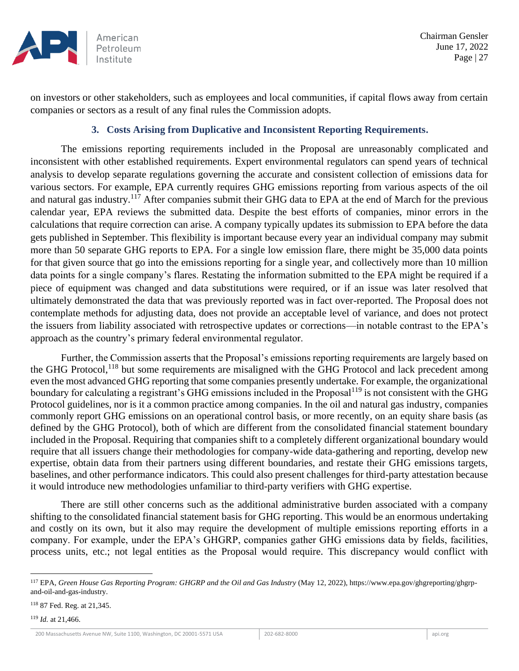

on investors or other stakeholders, such as employees and local communities, if capital flows away from certain companies or sectors as a result of any final rules the Commission adopts.

### **3. Costs Arising from Duplicative and Inconsistent Reporting Requirements.**

The emissions reporting requirements included in the Proposal are unreasonably complicated and inconsistent with other established requirements. Expert environmental regulators can spend years of technical analysis to develop separate regulations governing the accurate and consistent collection of emissions data for various sectors. For example, EPA currently requires GHG emissions reporting from various aspects of the oil and natural gas industry.<sup>117</sup> After companies submit their GHG data to EPA at the end of March for the previous calendar year, EPA reviews the submitted data. Despite the best efforts of companies, minor errors in the calculations that require correction can arise. A company typically updates its submission to EPA before the data gets published in September. This flexibility is important because every year an individual company may submit more than 50 separate GHG reports to EPA. For a single low emission flare, there might be 35,000 data points for that given source that go into the emissions reporting for a single year, and collectively more than 10 million data points for a single company's flares. Restating the information submitted to the EPA might be required if a piece of equipment was changed and data substitutions were required, or if an issue was later resolved that ultimately demonstrated the data that was previously reported was in fact over-reported. The Proposal does not contemplate methods for adjusting data, does not provide an acceptable level of variance, and does not protect the issuers from liability associated with retrospective updates or corrections—in notable contrast to the EPA's approach as the country's primary federal environmental regulator.

Further, the Commission asserts that the Proposal's emissions reporting requirements are largely based on the GHG Protocol,<sup>118</sup> but some requirements are misaligned with the GHG Protocol and lack precedent among even the most advanced GHG reporting that some companies presently undertake. For example, the organizational boundary for calculating a registrant's GHG emissions included in the Proposal<sup>119</sup> is not consistent with the GHG Protocol guidelines, nor is it a common practice among companies. In the oil and natural gas industry, companies commonly report GHG emissions on an operational control basis, or more recently, on an equity share basis (as defined by the GHG Protocol), both of which are different from the consolidated financial statement boundary included in the Proposal. Requiring that companies shift to a completely different organizational boundary would require that all issuers change their methodologies for company-wide data-gathering and reporting, develop new expertise, obtain data from their partners using different boundaries, and restate their GHG emissions targets, baselines, and other performance indicators. This could also present challenges for third-party attestation because it would introduce new methodologies unfamiliar to third-party verifiers with GHG expertise.

There are still other concerns such as the additional administrative burden associated with a company shifting to the consolidated financial statement basis for GHG reporting. This would be an enormous undertaking and costly on its own, but it also may require the development of multiple emissions reporting efforts in a company. For example, under the EPA's GHGRP, companies gather GHG emissions data by fields, facilities, process units, etc.; not legal entities as the Proposal would require. This discrepancy would conflict with

<sup>118</sup> 87 Fed. Reg. at 21,345.

<sup>119</sup> *Id.* at 21,466.

<sup>117</sup> EPA, *Green House Gas Reporting Program: GHGRP and the Oil and Gas Industry* (May 12, 2022), https://www.epa.gov/ghgreporting/ghgrpand-oil-and-gas-industry.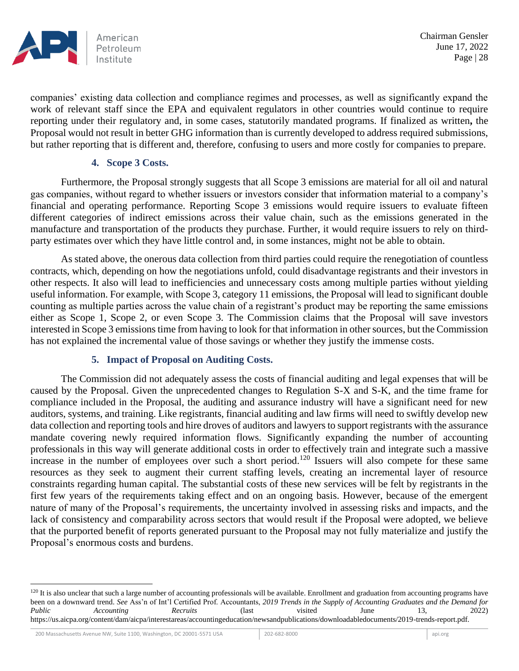

companies' existing data collection and compliance regimes and processes, as well as significantly expand the work of relevant staff since the EPA and equivalent regulators in other countries would continue to require reporting under their regulatory and, in some cases, statutorily mandated programs. If finalized as written**,** the Proposal would not result in better GHG information than is currently developed to address required submissions, but rather reporting that is different and, therefore, confusing to users and more costly for companies to prepare.

#### **4. Scope 3 Costs.**

Furthermore, the Proposal strongly suggests that all Scope 3 emissions are material for all oil and natural gas companies, without regard to whether issuers or investors consider that information material to a company's financial and operating performance. Reporting Scope 3 emissions would require issuers to evaluate fifteen different categories of indirect emissions across their value chain, such as the emissions generated in the manufacture and transportation of the products they purchase. Further, it would require issuers to rely on thirdparty estimates over which they have little control and, in some instances, might not be able to obtain.

As stated above, the onerous data collection from third parties could require the renegotiation of countless contracts, which, depending on how the negotiations unfold, could disadvantage registrants and their investors in other respects. It also will lead to inefficiencies and unnecessary costs among multiple parties without yielding useful information. For example, with Scope 3, category 11 emissions, the Proposal will lead to significant double counting as multiple parties across the value chain of a registrant's product may be reporting the same emissions either as Scope 1, Scope 2, or even Scope 3. The Commission claims that the Proposal will save investors interested in Scope 3 emissions time from having to look for that information in other sources, but the Commission has not explained the incremental value of those savings or whether they justify the immense costs.

## **5. Impact of Proposal on Auditing Costs.**

The Commission did not adequately assess the costs of financial auditing and legal expenses that will be caused by the Proposal. Given the unprecedented changes to Regulation S-X and S-K, and the time frame for compliance included in the Proposal, the auditing and assurance industry will have a significant need for new auditors, systems, and training. Like registrants, financial auditing and law firms will need to swiftly develop new data collection and reporting tools and hire droves of auditors and lawyers to support registrants with the assurance mandate covering newly required information flows. Significantly expanding the number of accounting professionals in this way will generate additional costs in order to effectively train and integrate such a massive increase in the number of employees over such a short period.<sup>120</sup> Issuers will also compete for these same resources as they seek to augment their current staffing levels, creating an incremental layer of resource constraints regarding human capital. The substantial costs of these new services will be felt by registrants in the first few years of the requirements taking effect and on an ongoing basis. However, because of the emergent nature of many of the Proposal's requirements, the uncertainty involved in assessing risks and impacts, and the lack of consistency and comparability across sectors that would result if the Proposal were adopted, we believe that the purported benefit of reports generated pursuant to the Proposal may not fully materialize and justify the Proposal's enormous costs and burdens.

 $120$  It is also unclear that such a large number of accounting professionals will be available. Enrollment and graduation from accounting programs have been on a downward trend. *See* Ass'n of Int'l Certified Prof. Accountants, *2019 Trends in the Supply of Accounting Graduates and the Demand for Public Accounting Recruits* (last visited June 13, 2022) https://us.aicpa.org/content/dam/aicpa/interestareas/accountingeducation/newsandpublications/downloadabledocuments/2019-trends-report.pdf.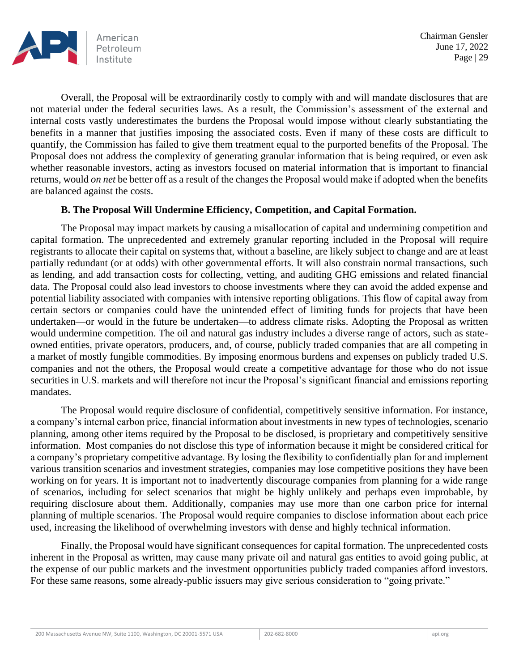

Overall, the Proposal will be extraordinarily costly to comply with and will mandate disclosures that are not material under the federal securities laws. As a result, the Commission's assessment of the external and internal costs vastly underestimates the burdens the Proposal would impose without clearly substantiating the benefits in a manner that justifies imposing the associated costs. Even if many of these costs are difficult to quantify, the Commission has failed to give them treatment equal to the purported benefits of the Proposal. The Proposal does not address the complexity of generating granular information that is being required, or even ask whether reasonable investors, acting as investors focused on material information that is important to financial returns, would *on net* be better off as a result of the changes the Proposal would make if adopted when the benefits are balanced against the costs.

### **B. The Proposal Will Undermine Efficiency, Competition, and Capital Formation.**

The Proposal may impact markets by causing a misallocation of capital and undermining competition and capital formation. The unprecedented and extremely granular reporting included in the Proposal will require registrants to allocate their capital on systems that, without a baseline, are likely subject to change and are at least partially redundant (or at odds) with other governmental efforts. It will also constrain normal transactions, such as lending, and add transaction costs for collecting, vetting, and auditing GHG emissions and related financial data. The Proposal could also lead investors to choose investments where they can avoid the added expense and potential liability associated with companies with intensive reporting obligations. This flow of capital away from certain sectors or companies could have the unintended effect of limiting funds for projects that have been undertaken—or would in the future be undertaken—to address climate risks. Adopting the Proposal as written would undermine competition. The oil and natural gas industry includes a diverse range of actors, such as stateowned entities, private operators, producers, and, of course, publicly traded companies that are all competing in a market of mostly fungible commodities. By imposing enormous burdens and expenses on publicly traded U.S. companies and not the others, the Proposal would create a competitive advantage for those who do not issue securities in U.S. markets and will therefore not incur the Proposal's significant financial and emissions reporting mandates.

The Proposal would require disclosure of confidential, competitively sensitive information. For instance, a company's internal carbon price, financial information about investments in new types of technologies, scenario planning, among other items required by the Proposal to be disclosed, is proprietary and competitively sensitive information. Most companies do not disclose this type of information because it might be considered critical for a company's proprietary competitive advantage. By losing the flexibility to confidentially plan for and implement various transition scenarios and investment strategies, companies may lose competitive positions they have been working on for years. It is important not to inadvertently discourage companies from planning for a wide range of scenarios, including for select scenarios that might be highly unlikely and perhaps even improbable, by requiring disclosure about them. Additionally, companies may use more than one carbon price for internal planning of multiple scenarios. The Proposal would require companies to disclose information about each price used, increasing the likelihood of overwhelming investors with dense and highly technical information.

Finally, the Proposal would have significant consequences for capital formation. The unprecedented costs inherent in the Proposal as written, may cause many private oil and natural gas entities to avoid going public, at the expense of our public markets and the investment opportunities publicly traded companies afford investors. For these same reasons, some already-public issuers may give serious consideration to "going private."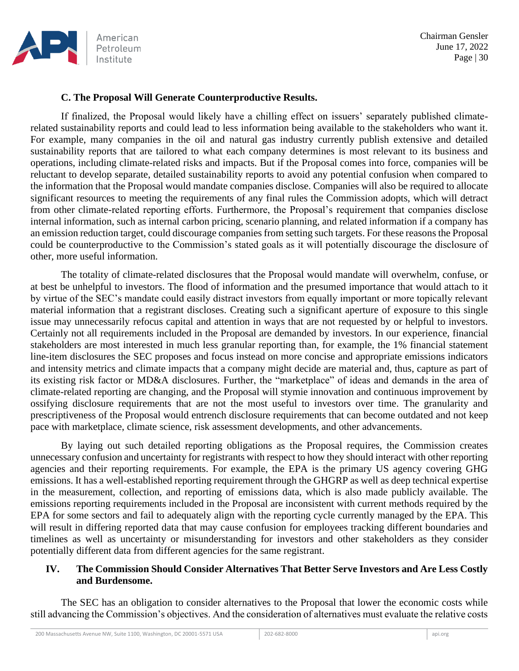

### **C. The Proposal Will Generate Counterproductive Results.**

If finalized, the Proposal would likely have a chilling effect on issuers' separately published climaterelated sustainability reports and could lead to less information being available to the stakeholders who want it. For example, many companies in the oil and natural gas industry currently publish extensive and detailed sustainability reports that are tailored to what each company determines is most relevant to its business and operations, including climate-related risks and impacts. But if the Proposal comes into force, companies will be reluctant to develop separate, detailed sustainability reports to avoid any potential confusion when compared to the information that the Proposal would mandate companies disclose. Companies will also be required to allocate significant resources to meeting the requirements of any final rules the Commission adopts, which will detract from other climate-related reporting efforts. Furthermore, the Proposal's requirement that companies disclose internal information, such as internal carbon pricing, scenario planning, and related information if a company has an emission reduction target, could discourage companies from setting such targets. For these reasons the Proposal could be counterproductive to the Commission's stated goals as it will potentially discourage the disclosure of other, more useful information.

The totality of climate-related disclosures that the Proposal would mandate will overwhelm, confuse, or at best be unhelpful to investors. The flood of information and the presumed importance that would attach to it by virtue of the SEC's mandate could easily distract investors from equally important or more topically relevant material information that a registrant discloses. Creating such a significant aperture of exposure to this single issue may unnecessarily refocus capital and attention in ways that are not requested by or helpful to investors. Certainly not all requirements included in the Proposal are demanded by investors. In our experience, financial stakeholders are most interested in much less granular reporting than, for example, the 1% financial statement line-item disclosures the SEC proposes and focus instead on more concise and appropriate emissions indicators and intensity metrics and climate impacts that a company might decide are material and, thus, capture as part of its existing risk factor or MD&A disclosures. Further, the "marketplace" of ideas and demands in the area of climate-related reporting are changing, and the Proposal will stymie innovation and continuous improvement by ossifying disclosure requirements that are not the most useful to investors over time. The granularity and prescriptiveness of the Proposal would entrench disclosure requirements that can become outdated and not keep pace with marketplace, climate science, risk assessment developments, and other advancements.

By laying out such detailed reporting obligations as the Proposal requires, the Commission creates unnecessary confusion and uncertainty for registrants with respect to how they should interact with other reporting agencies and their reporting requirements. For example, the EPA is the primary US agency covering GHG emissions. It has a well-established reporting requirement through the GHGRP as well as deep technical expertise in the measurement, collection, and reporting of emissions data, which is also made publicly available. The emissions reporting requirements included in the Proposal are inconsistent with current methods required by the EPA for some sectors and fail to adequately align with the reporting cycle currently managed by the EPA. This will result in differing reported data that may cause confusion for employees tracking different boundaries and timelines as well as uncertainty or misunderstanding for investors and other stakeholders as they consider potentially different data from different agencies for the same registrant.

### **IV. The Commission Should Consider Alternatives That Better Serve Investors and Are Less Costly and Burdensome.**

The SEC has an obligation to consider alternatives to the Proposal that lower the economic costs while still advancing the Commission's objectives. And the consideration of alternatives must evaluate the relative costs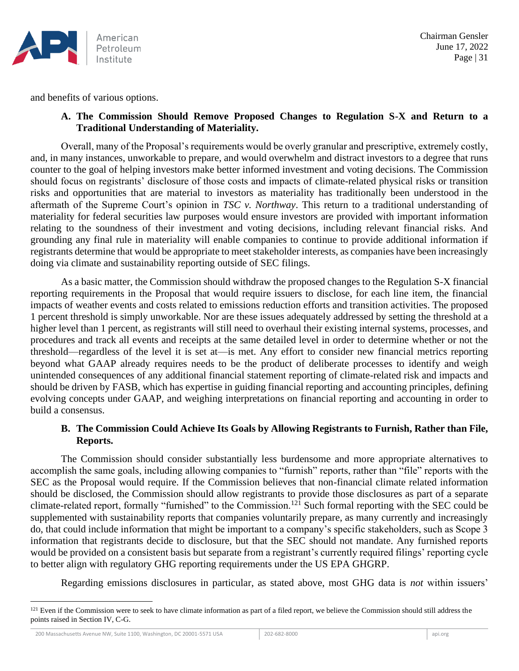

and benefits of various options.

### **A. The Commission Should Remove Proposed Changes to Regulation S-X and Return to a Traditional Understanding of Materiality.**

Overall, many of the Proposal's requirements would be overly granular and prescriptive, extremely costly, and, in many instances, unworkable to prepare, and would overwhelm and distract investors to a degree that runs counter to the goal of helping investors make better informed investment and voting decisions. The Commission should focus on registrants' disclosure of those costs and impacts of climate-related physical risks or transition risks and opportunities that are material to investors as materiality has traditionally been understood in the aftermath of the Supreme Court's opinion in *TSC v. Northway*. This return to a traditional understanding of materiality for federal securities law purposes would ensure investors are provided with important information relating to the soundness of their investment and voting decisions, including relevant financial risks. And grounding any final rule in materiality will enable companies to continue to provide additional information if registrants determine that would be appropriate to meet stakeholder interests, as companies have been increasingly doing via climate and sustainability reporting outside of SEC filings.

As a basic matter, the Commission should withdraw the proposed changes to the Regulation S-X financial reporting requirements in the Proposal that would require issuers to disclose, for each line item, the financial impacts of weather events and costs related to emissions reduction efforts and transition activities. The proposed 1 percent threshold is simply unworkable. Nor are these issues adequately addressed by setting the threshold at a higher level than 1 percent, as registrants will still need to overhaul their existing internal systems, processes, and procedures and track all events and receipts at the same detailed level in order to determine whether or not the threshold—regardless of the level it is set at—is met. Any effort to consider new financial metrics reporting beyond what GAAP already requires needs to be the product of deliberate processes to identify and weigh unintended consequences of any additional financial statement reporting of climate-related risk and impacts and should be driven by FASB, which has expertise in guiding financial reporting and accounting principles, defining evolving concepts under GAAP, and weighing interpretations on financial reporting and accounting in order to build a consensus.

### **B. The Commission Could Achieve Its Goals by Allowing Registrants to Furnish, Rather than File, Reports.**

The Commission should consider substantially less burdensome and more appropriate alternatives to accomplish the same goals, including allowing companies to "furnish" reports, rather than "file" reports with the SEC as the Proposal would require. If the Commission believes that non-financial climate related information should be disclosed, the Commission should allow registrants to provide those disclosures as part of a separate climate-related report, formally "furnished" to the Commission.<sup>121</sup> Such formal reporting with the SEC could be supplemented with sustainability reports that companies voluntarily prepare, as many currently and increasingly do, that could include information that might be important to a company's specific stakeholders, such as Scope 3 information that registrants decide to disclosure, but that the SEC should not mandate. Any furnished reports would be provided on a consistent basis but separate from a registrant's currently required filings' reporting cycle to better align with regulatory GHG reporting requirements under the US EPA GHGRP.

Regarding emissions disclosures in particular, as stated above, most GHG data is *not* within issuers'

<sup>&</sup>lt;sup>121</sup> Even if the Commission were to seek to have climate information as part of a filed report, we believe the Commission should still address the points raised in Section IV, C-G.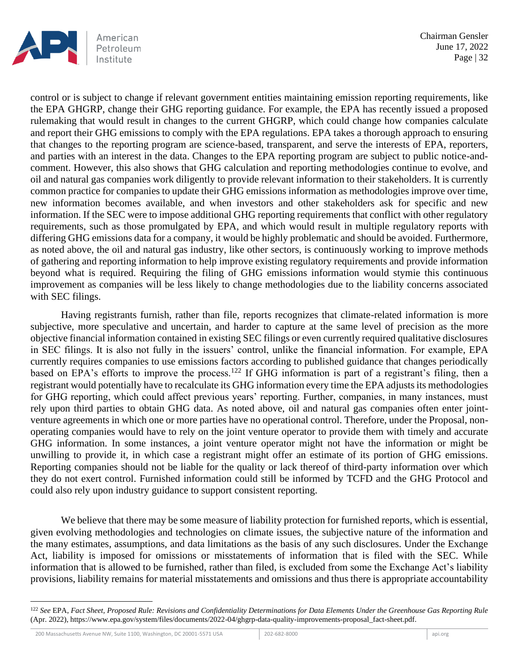

control or is subject to change if relevant government entities maintaining emission reporting requirements, like the EPA GHGRP, change their GHG reporting guidance. For example, the EPA has recently issued a proposed rulemaking that would result in changes to the current GHGRP, which could change how companies calculate and report their GHG emissions to comply with the EPA regulations. EPA takes a thorough approach to ensuring that changes to the reporting program are science-based, transparent, and serve the interests of EPA, reporters, and parties with an interest in the data. Changes to the EPA reporting program are subject to public notice-andcomment. However, this also shows that GHG calculation and reporting methodologies continue to evolve, and oil and natural gas companies work diligently to provide relevant information to their stakeholders. It is currently common practice for companies to update their GHG emissions information as methodologies improve over time, new information becomes available, and when investors and other stakeholders ask for specific and new information. If the SEC were to impose additional GHG reporting requirements that conflict with other regulatory requirements, such as those promulgated by EPA, and which would result in multiple regulatory reports with differing GHG emissions data for a company, it would be highly problematic and should be avoided. Furthermore, as noted above, the oil and natural gas industry, like other sectors, is continuously working to improve methods of gathering and reporting information to help improve existing regulatory requirements and provide information beyond what is required. Requiring the filing of GHG emissions information would stymie this continuous improvement as companies will be less likely to change methodologies due to the liability concerns associated with SEC filings.

Having registrants furnish, rather than file, reports recognizes that climate-related information is more subjective, more speculative and uncertain, and harder to capture at the same level of precision as the more objective financial information contained in existing SEC filings or even currently required qualitative disclosures in SEC filings. It is also not fully in the issuers' control, unlike the financial information. For example, EPA currently requires companies to use emissions factors according to published guidance that changes periodically based on EPA's efforts to improve the process.<sup>122</sup> If GHG information is part of a registrant's filing, then a registrant would potentially have to recalculate its GHG information every time the EPA adjusts its methodologies for GHG reporting, which could affect previous years' reporting. Further, companies, in many instances, must rely upon third parties to obtain GHG data. As noted above, oil and natural gas companies often enter jointventure agreements in which one or more parties have no operational control. Therefore, under the Proposal, nonoperating companies would have to rely on the joint venture operator to provide them with timely and accurate GHG information. In some instances, a joint venture operator might not have the information or might be unwilling to provide it, in which case a registrant might offer an estimate of its portion of GHG emissions. Reporting companies should not be liable for the quality or lack thereof of third-party information over which they do not exert control. Furnished information could still be informed by TCFD and the GHG Protocol and could also rely upon industry guidance to support consistent reporting.

We believe that there may be some measure of liability protection for furnished reports, which is essential, given evolving methodologies and technologies on climate issues, the subjective nature of the information and the many estimates, assumptions, and data limitations as the basis of any such disclosures. Under the Exchange Act, liability is imposed for omissions or misstatements of information that is filed with the SEC. While information that is allowed to be furnished, rather than filed, is excluded from some the Exchange Act's liability provisions, liability remains for material misstatements and omissions and thus there is appropriate accountability

<sup>122</sup> *See* EPA, *Fact Sheet, Proposed Rule: Revisions and Confidentiality Determinations for Data Elements Under the Greenhouse Gas Reporting Rule* (Apr. 2022), https://www.epa.gov/system/files/documents/2022-04/ghgrp-data-quality-improvements-proposal\_fact-sheet.pdf.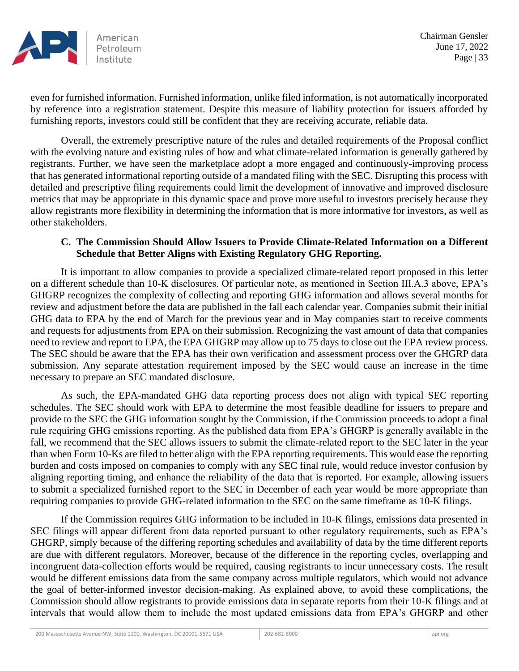

even for furnished information. Furnished information, unlike filed information, is not automatically incorporated by reference into a registration statement. Despite this measure of liability protection for issuers afforded by furnishing reports, investors could still be confident that they are receiving accurate, reliable data.

Overall, the extremely prescriptive nature of the rules and detailed requirements of the Proposal conflict with the evolving nature and existing rules of how and what climate-related information is generally gathered by registrants. Further, we have seen the marketplace adopt a more engaged and continuously-improving process that has generated informational reporting outside of a mandated filing with the SEC. Disrupting this process with detailed and prescriptive filing requirements could limit the development of innovative and improved disclosure metrics that may be appropriate in this dynamic space and prove more useful to investors precisely because they allow registrants more flexibility in determining the information that is more informative for investors, as well as other stakeholders.

### **C. The Commission Should Allow Issuers to Provide Climate-Related Information on a Different Schedule that Better Aligns with Existing Regulatory GHG Reporting.**

It is important to allow companies to provide a specialized climate-related report proposed in this letter on a different schedule than 10-K disclosures. Of particular note, as mentioned in Section III.A.3 above, EPA's GHGRP recognizes the complexity of collecting and reporting GHG information and allows several months for review and adjustment before the data are published in the fall each calendar year. Companies submit their initial GHG data to EPA by the end of March for the previous year and in May companies start to receive comments and requests for adjustments from EPA on their submission. Recognizing the vast amount of data that companies need to review and report to EPA, the EPA GHGRP may allow up to 75 days to close out the EPA review process. The SEC should be aware that the EPA has their own verification and assessment process over the GHGRP data submission. Any separate attestation requirement imposed by the SEC would cause an increase in the time necessary to prepare an SEC mandated disclosure.

As such, the EPA-mandated GHG data reporting process does not align with typical SEC reporting schedules. The SEC should work with EPA to determine the most feasible deadline for issuers to prepare and provide to the SEC the GHG information sought by the Commission, if the Commission proceeds to adopt a final rule requiring GHG emissions reporting. As the published data from EPA's GHGRP is generally available in the fall, we recommend that the SEC allows issuers to submit the climate-related report to the SEC later in the year than when Form 10-Ks are filed to better align with the EPA reporting requirements. This would ease the reporting burden and costs imposed on companies to comply with any SEC final rule, would reduce investor confusion by aligning reporting timing, and enhance the reliability of the data that is reported. For example, allowing issuers to submit a specialized furnished report to the SEC in December of each year would be more appropriate than requiring companies to provide GHG-related information to the SEC on the same timeframe as 10-K filings.

If the Commission requires GHG information to be included in 10-K filings, emissions data presented in SEC filings will appear different from data reported pursuant to other regulatory requirements, such as EPA's GHGRP, simply because of the differing reporting schedules and availability of data by the time different reports are due with different regulators. Moreover, because of the difference in the reporting cycles, overlapping and incongruent data-collection efforts would be required, causing registrants to incur unnecessary costs. The result would be different emissions data from the same company across multiple regulators, which would not advance the goal of better-informed investor decision-making. As explained above, to avoid these complications, the Commission should allow registrants to provide emissions data in separate reports from their 10-K filings and at intervals that would allow them to include the most updated emissions data from EPA's GHGRP and other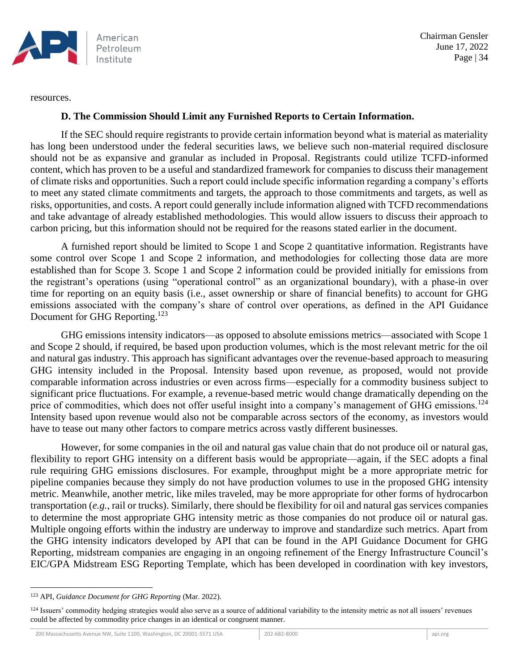

resources.

#### **D. The Commission Should Limit any Furnished Reports to Certain Information.**

If the SEC should require registrants to provide certain information beyond what is material as materiality has long been understood under the federal securities laws, we believe such non-material required disclosure should not be as expansive and granular as included in Proposal. Registrants could utilize TCFD-informed content, which has proven to be a useful and standardized framework for companies to discuss their management of climate risks and opportunities. Such a report could include specific information regarding a company's efforts to meet any stated climate commitments and targets, the approach to those commitments and targets, as well as risks, opportunities, and costs. A report could generally include information aligned with TCFD recommendations and take advantage of already established methodologies. This would allow issuers to discuss their approach to carbon pricing, but this information should not be required for the reasons stated earlier in the document.

A furnished report should be limited to Scope 1 and Scope 2 quantitative information. Registrants have some control over Scope 1 and Scope 2 information, and methodologies for collecting those data are more established than for Scope 3. Scope 1 and Scope 2 information could be provided initially for emissions from the registrant's operations (using "operational control" as an organizational boundary), with a phase-in over time for reporting on an equity basis (i.e., asset ownership or share of financial benefits) to account for GHG emissions associated with the company's share of control over operations, as defined in the API Guidance Document for GHG Reporting.<sup>123</sup>

GHG emissions intensity indicators—as opposed to absolute emissions metrics—associated with Scope 1 and Scope 2 should, if required, be based upon production volumes, which is the most relevant metric for the oil and natural gas industry. This approach has significant advantages over the revenue-based approach to measuring GHG intensity included in the Proposal. Intensity based upon revenue, as proposed, would not provide comparable information across industries or even across firms—especially for a commodity business subject to significant price fluctuations. For example, a revenue-based metric would change dramatically depending on the price of commodities, which does not offer useful insight into a company's management of GHG emissions.<sup>124</sup> Intensity based upon revenue would also not be comparable across sectors of the economy, as investors would have to tease out many other factors to compare metrics across vastly different businesses.

However, for some companies in the oil and natural gas value chain that do not produce oil or natural gas, flexibility to report GHG intensity on a different basis would be appropriate—again, if the SEC adopts a final rule requiring GHG emissions disclosures. For example, throughput might be a more appropriate metric for pipeline companies because they simply do not have production volumes to use in the proposed GHG intensity metric. Meanwhile, another metric, like miles traveled, may be more appropriate for other forms of hydrocarbon transportation (*e.g.*, rail or trucks). Similarly, there should be flexibility for oil and natural gas services companies to determine the most appropriate GHG intensity metric as those companies do not produce oil or natural gas. Multiple ongoing efforts within the industry are underway to improve and standardize such metrics. Apart from the GHG intensity indicators developed by API that can be found in the API Guidance Document for GHG Reporting, midstream companies are engaging in an ongoing refinement of the Energy Infrastructure Council's EIC/GPA Midstream ESG Reporting Template, which has been developed in coordination with key investors,

<sup>123</sup> API, *Guidance Document for GHG Reporting* (Mar. 2022).

<sup>&</sup>lt;sup>124</sup> Issuers' commodity hedging strategies would also serve as a source of additional variability to the intensity metric as not all issuers' revenues could be affected by commodity price changes in an identical or congruent manner.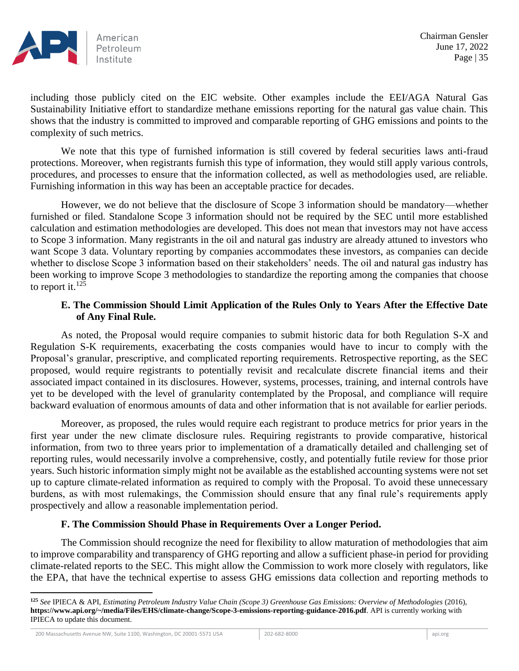

including those publicly cited on the EIC website. Other examples include the EEI/AGA Natural Gas Sustainability Initiative effort to standardize methane emissions reporting for the natural gas value chain. This shows that the industry is committed to improved and comparable reporting of GHG emissions and points to the complexity of such metrics.

We note that this type of furnished information is still covered by federal securities laws anti-fraud protections. Moreover, when registrants furnish this type of information, they would still apply various controls, procedures, and processes to ensure that the information collected, as well as methodologies used, are reliable. Furnishing information in this way has been an acceptable practice for decades.

However, we do not believe that the disclosure of Scope 3 information should be mandatory—whether furnished or filed. Standalone Scope 3 information should not be required by the SEC until more established calculation and estimation methodologies are developed. This does not mean that investors may not have access to Scope 3 information. Many registrants in the oil and natural gas industry are already attuned to investors who want Scope 3 data. Voluntary reporting by companies accommodates these investors, as companies can decide whether to disclose Scope 3 information based on their stakeholders' needs. The oil and natural gas industry has been working to improve Scope 3 methodologies to standardize the reporting among the companies that choose to report it. $^{125}$ 

## **E. The Commission Should Limit Application of the Rules Only to Years After the Effective Date of Any Final Rule.**

As noted, the Proposal would require companies to submit historic data for both Regulation S-X and Regulation S-K requirements, exacerbating the costs companies would have to incur to comply with the Proposal's granular, prescriptive, and complicated reporting requirements. Retrospective reporting, as the SEC proposed, would require registrants to potentially revisit and recalculate discrete financial items and their associated impact contained in its disclosures. However, systems, processes, training, and internal controls have yet to be developed with the level of granularity contemplated by the Proposal, and compliance will require backward evaluation of enormous amounts of data and other information that is not available for earlier periods.

Moreover, as proposed, the rules would require each registrant to produce metrics for prior years in the first year under the new climate disclosure rules. Requiring registrants to provide comparative, historical information, from two to three years prior to implementation of a dramatically detailed and challenging set of reporting rules, would necessarily involve a comprehensive, costly, and potentially futile review for those prior years. Such historic information simply might not be available as the established accounting systems were not set up to capture climate-related information as required to comply with the Proposal. To avoid these unnecessary burdens, as with most rulemakings, the Commission should ensure that any final rule's requirements apply prospectively and allow a reasonable implementation period.

### **F. The Commission Should Phase in Requirements Over a Longer Period.**

The Commission should recognize the need for flexibility to allow maturation of methodologies that aim to improve comparability and transparency of GHG reporting and allow a sufficient phase-in period for providing climate-related reports to the SEC. This might allow the Commission to work more closely with regulators, like the EPA, that have the technical expertise to assess GHG emissions data collection and reporting methods to

**<sup>125</sup>** *See* IPIECA & API, *Estimating Petroleum Industry Value Chain (Scope 3) Greenhouse Gas Emissions: Overview of Methodologies* (2016), **https://www.api.org/~/media/Files/EHS/climate-change/Scope-3-emissions-reporting-guidance-2016.pdf**. API is currently working with IPIECA to update this document.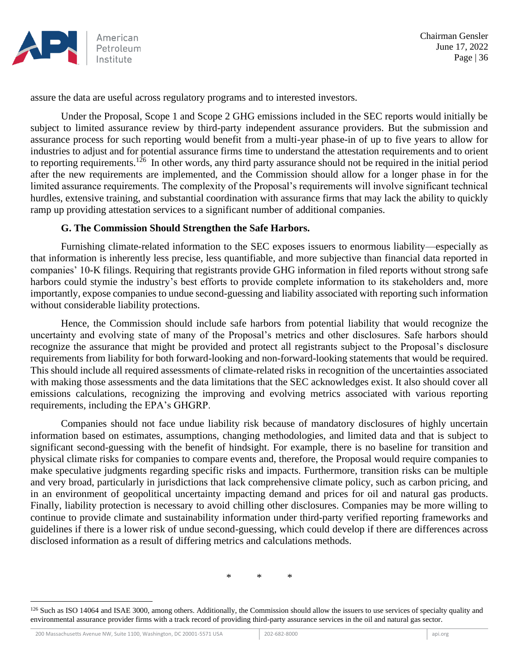

assure the data are useful across regulatory programs and to interested investors.

Under the Proposal, Scope 1 and Scope 2 GHG emissions included in the SEC reports would initially be subject to limited assurance review by third-party independent assurance providers. But the submission and assurance process for such reporting would benefit from a multi-year phase-in of up to five years to allow for industries to adjust and for potential assurance firms time to understand the attestation requirements and to orient to reporting requirements.<sup>126</sup> In other words, any third party assurance should not be required in the initial period after the new requirements are implemented, and the Commission should allow for a longer phase in for the limited assurance requirements. The complexity of the Proposal's requirements will involve significant technical hurdles, extensive training, and substantial coordination with assurance firms that may lack the ability to quickly ramp up providing attestation services to a significant number of additional companies.

### **G. The Commission Should Strengthen the Safe Harbors.**

Furnishing climate-related information to the SEC exposes issuers to enormous liability—especially as that information is inherently less precise, less quantifiable, and more subjective than financial data reported in companies' 10-K filings. Requiring that registrants provide GHG information in filed reports without strong safe harbors could stymie the industry's best efforts to provide complete information to its stakeholders and, more importantly, expose companies to undue second-guessing and liability associated with reporting such information without considerable liability protections.

Hence, the Commission should include safe harbors from potential liability that would recognize the uncertainty and evolving state of many of the Proposal's metrics and other disclosures. Safe harbors should recognize the assurance that might be provided and protect all registrants subject to the Proposal's disclosure requirements from liability for both forward-looking and non-forward-looking statements that would be required. This should include all required assessments of climate-related risks in recognition of the uncertainties associated with making those assessments and the data limitations that the SEC acknowledges exist. It also should cover all emissions calculations, recognizing the improving and evolving metrics associated with various reporting requirements, including the EPA's GHGRP.

Companies should not face undue liability risk because of mandatory disclosures of highly uncertain information based on estimates, assumptions, changing methodologies, and limited data and that is subject to significant second-guessing with the benefit of hindsight. For example, there is no baseline for transition and physical climate risks for companies to compare events and, therefore, the Proposal would require companies to make speculative judgments regarding specific risks and impacts. Furthermore, transition risks can be multiple and very broad, particularly in jurisdictions that lack comprehensive climate policy, such as carbon pricing, and in an environment of geopolitical uncertainty impacting demand and prices for oil and natural gas products. Finally, liability protection is necessary to avoid chilling other disclosures. Companies may be more willing to continue to provide climate and sustainability information under third-party verified reporting frameworks and guidelines if there is a lower risk of undue second-guessing, which could develop if there are differences across disclosed information as a result of differing metrics and calculations methods.

\* \* \*

<sup>&</sup>lt;sup>126</sup> Such as ISO 14064 and ISAE 3000, among others. Additionally, the Commission should allow the issuers to use services of specialty quality and environmental assurance provider firms with a track record of providing third-party assurance services in the oil and natural gas sector.